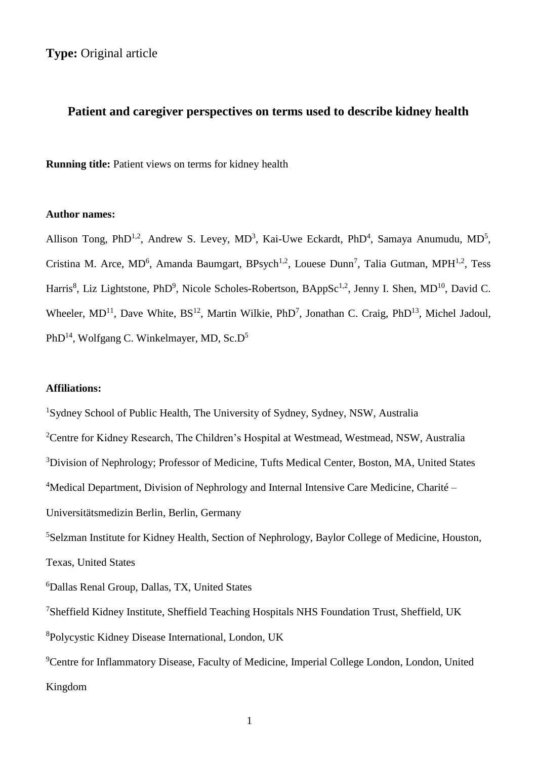**Type:** Original article

# **Patient and caregiver perspectives on terms used to describe kidney health**

**Running title:** Patient views on terms for kidney health

## **Author names:**

Allison Tong, PhD<sup>1,2</sup>, Andrew S. Levey, MD<sup>3</sup>, Kai-Uwe Eckardt, PhD<sup>4</sup>, Samaya Anumudu, MD<sup>5</sup>, Cristina M. Arce, MD<sup>6</sup>, Amanda Baumgart, BPsych<sup>1,2</sup>, Louese Dunn<sup>7</sup>, Talia Gutman, MPH<sup>1,2</sup>, Tess Harris<sup>8</sup>, Liz Lightstone, PhD<sup>9</sup>, Nicole Scholes-Robertson, BAppSc<sup>1,2</sup>, Jenny I. Shen, MD<sup>10</sup>, David C. Wheeler,  $MD^{11}$ , Dave White,  $BS^{12}$ , Martin Wilkie, PhD<sup>7</sup>, Jonathan C. Craig, PhD<sup>13</sup>, Michel Jadoul, PhD<sup>14</sup>, Wolfgang C. Winkelmayer, MD, Sc.D<sup>5</sup>

## **Affiliations:**

<sup>1</sup>Sydney School of Public Health, The University of Sydney, Sydney, NSW, Australia <sup>2</sup>Centre for Kidney Research, The Children's Hospital at Westmead, Westmead, NSW, Australia <sup>3</sup>Division of Nephrology; Professor of Medicine, Tufts Medical Center, Boston, MA, United States <sup>4</sup>Medical Department, Division of Nephrology and Internal Intensive Care Medicine, Charité – Universitätsmedizin Berlin, Berlin, Germany <sup>5</sup>Selzman Institute for Kidney Health, Section of Nephrology, Baylor College of Medicine, Houston, Texas, United States <sup>6</sup>Dallas Renal Group, Dallas, TX, United States <sup>7</sup>Sheffield Kidney Institute, Sheffield Teaching Hospitals NHS Foundation Trust, Sheffield, UK <sup>8</sup>Polycystic Kidney Disease International, London, UK <sup>9</sup>Centre for Inflammatory Disease, Faculty of Medicine, Imperial College London, London, United Kingdom

1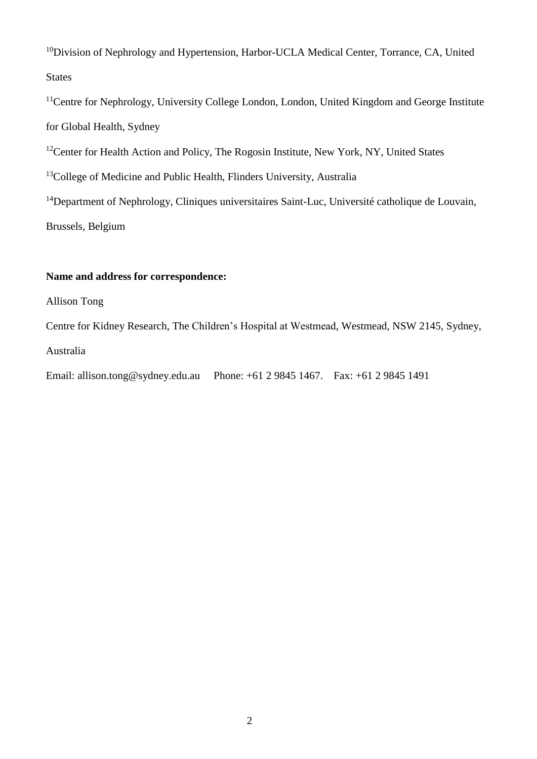<sup>10</sup>Division of Nephrology and Hypertension, Harbor-UCLA Medical Center, Torrance, CA, United States

<sup>11</sup>Centre for Nephrology, University College London, London, United Kingdom and George Institute for Global Health, Sydney

<sup>12</sup>Center for Health Action and Policy, The Rogosin Institute, New York, NY, United States

<sup>13</sup>College of Medicine and Public Health, Flinders University, Australia

<sup>14</sup>Department of Nephrology, Cliniques universitaires Saint-Luc, Université catholique de Louvain, Brussels, Belgium

# **Name and address for correspondence:**

Allison Tong

Centre for Kidney Research, The Children's Hospital at Westmead, Westmead, NSW 2145, Sydney, Australia

Email: allison.tong@sydney.edu.au Phone: +61 2 9845 1467. Fax: +61 2 9845 1491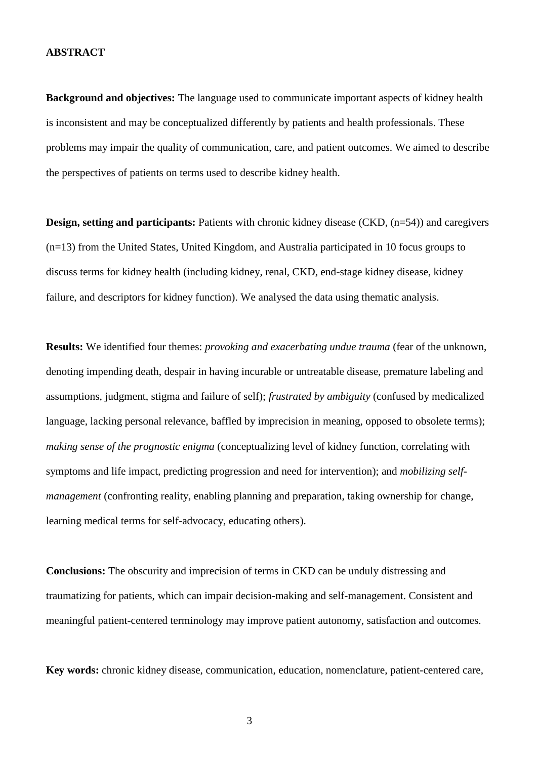#### **ABSTRACT**

**Background and objectives:** The language used to communicate important aspects of kidney health is inconsistent and may be conceptualized differently by patients and health professionals. These problems may impair the quality of communication, care, and patient outcomes. We aimed to describe the perspectives of patients on terms used to describe kidney health.

**Design, setting and participants:** Patients with chronic kidney disease (CKD,  $(n=54)$ ) and caregivers (n=13) from the United States, United Kingdom, and Australia participated in 10 focus groups to discuss terms for kidney health (including kidney, renal, CKD, end-stage kidney disease, kidney failure, and descriptors for kidney function). We analysed the data using thematic analysis.

**Results:** We identified four themes: *provoking and exacerbating undue trauma* (fear of the unknown, denoting impending death, despair in having incurable or untreatable disease, premature labeling and assumptions, judgment, stigma and failure of self); *frustrated by ambiguity* (confused by medicalized language, lacking personal relevance, baffled by imprecision in meaning, opposed to obsolete terms); *making sense of the prognostic enigma* (conceptualizing level of kidney function, correlating with symptoms and life impact, predicting progression and need for intervention); and *mobilizing selfmanagement* (confronting reality, enabling planning and preparation, taking ownership for change, learning medical terms for self-advocacy, educating others).

**Conclusions:** The obscurity and imprecision of terms in CKD can be unduly distressing and traumatizing for patients, which can impair decision-making and self-management. Consistent and meaningful patient-centered terminology may improve patient autonomy, satisfaction and outcomes.

**Key words:** chronic kidney disease, communication, education, nomenclature, patient-centered care,

3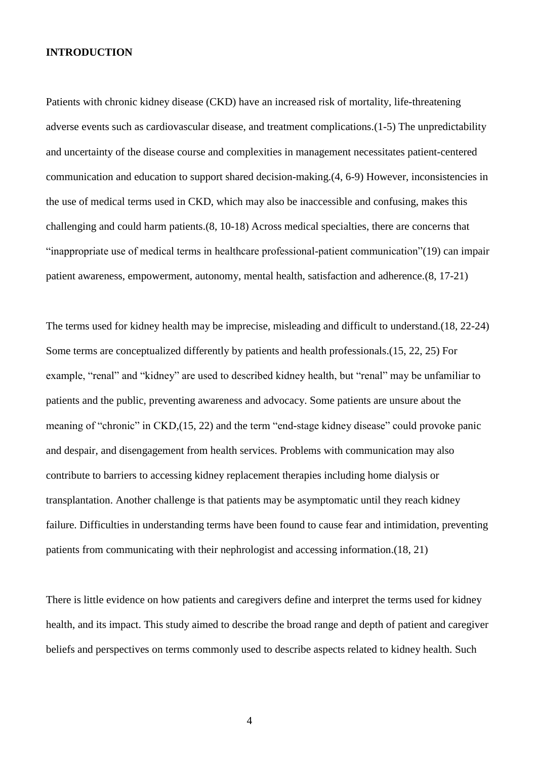## **INTRODUCTION**

Patients with chronic kidney disease (CKD) have an increased risk of mortality, life-threatening adverse events such as cardiovascular disease, and treatment complications.[\(1-5\)](#page-18-0) The unpredictability and uncertainty of the disease course and complexities in management necessitates patient-centered communication and education to support shared decision-making.[\(4,](#page-18-1) [6-9\)](#page-18-2) However, inconsistencies in the use of medical terms used in CKD, which may also be inaccessible and confusing, makes this challenging and could harm patients.[\(8,](#page-18-3) [10-18\)](#page-18-4) Across medical specialties, there are concerns that "inappropriate use of medical terms in healthcare professional-patient communication"[\(19\)](#page-19-0) can impair patient awareness, empowerment, autonomy, mental health, satisfaction and adherence.[\(8,](#page-18-3) [17-21\)](#page-19-1)

The terms used for kidney health may be imprecise, misleading and difficult to understand.[\(18,](#page-19-2) [22-24\)](#page-20-0) Some terms are conceptualized differently by patients and health professionals.[\(15,](#page-19-3) [22,](#page-20-0) [25\)](#page-20-1) For example, "renal" and "kidney" are used to described kidney health, but "renal" may be unfamiliar to patients and the public, preventing awareness and advocacy. Some patients are unsure about the meaning of "chronic" in CKD,[\(15,](#page-19-3) [22\)](#page-20-0) and the term "end-stage kidney disease" could provoke panic and despair, and disengagement from health services. Problems with communication may also contribute to barriers to accessing kidney replacement therapies including home dialysis or transplantation. Another challenge is that patients may be asymptomatic until they reach kidney failure. Difficulties in understanding terms have been found to cause fear and intimidation, preventing patients from communicating with their nephrologist and accessing information.[\(18,](#page-19-2) [21\)](#page-20-2)

There is little evidence on how patients and caregivers define and interpret the terms used for kidney health, and its impact. This study aimed to describe the broad range and depth of patient and caregiver beliefs and perspectives on terms commonly used to describe aspects related to kidney health. Such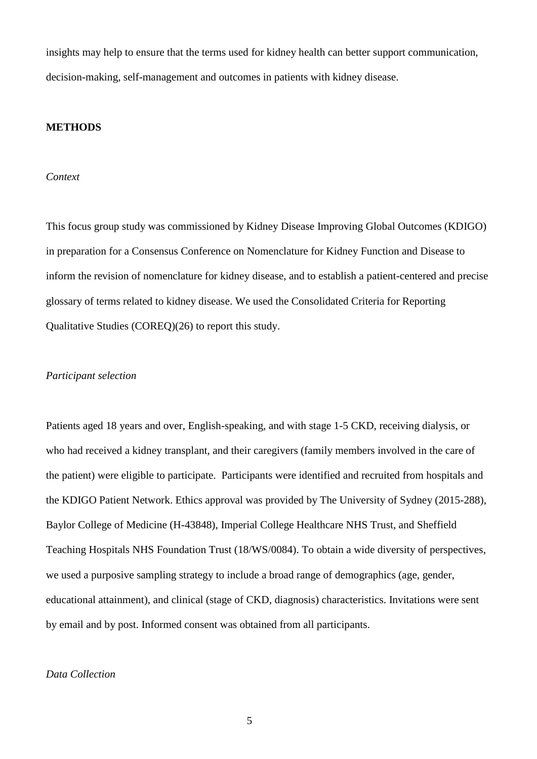insights may help to ensure that the terms used for kidney health can better support communication, decision-making, self-management and outcomes in patients with kidney disease.

## **METHODS**

## *Context*

This focus group study was commissioned by Kidney Disease Improving Global Outcomes (KDIGO) in preparation for a Consensus Conference on Nomenclature for Kidney Function and Disease to inform the revision of nomenclature for kidney disease, and to establish a patient-centered and precise glossary of terms related to kidney disease. We used the Consolidated Criteria for Reporting Qualitative Studies (COREQ)[\(26\)](#page-20-3) to report this study.

## *Participant selection*

Patients aged 18 years and over, English-speaking, and with stage 1-5 CKD, receiving dialysis, or who had received a kidney transplant, and their caregivers (family members involved in the care of the patient) were eligible to participate. Participants were identified and recruited from hospitals and the KDIGO Patient Network. Ethics approval was provided by The University of Sydney (2015-288), Baylor College of Medicine (H-43848), Imperial College Healthcare NHS Trust, and Sheffield Teaching Hospitals NHS Foundation Trust (18/WS/0084). To obtain a wide diversity of perspectives, we used a purposive sampling strategy to include a broad range of demographics (age, gender, educational attainment), and clinical (stage of CKD, diagnosis) characteristics. Invitations were sent by email and by post. Informed consent was obtained from all participants.

## *Data Collection*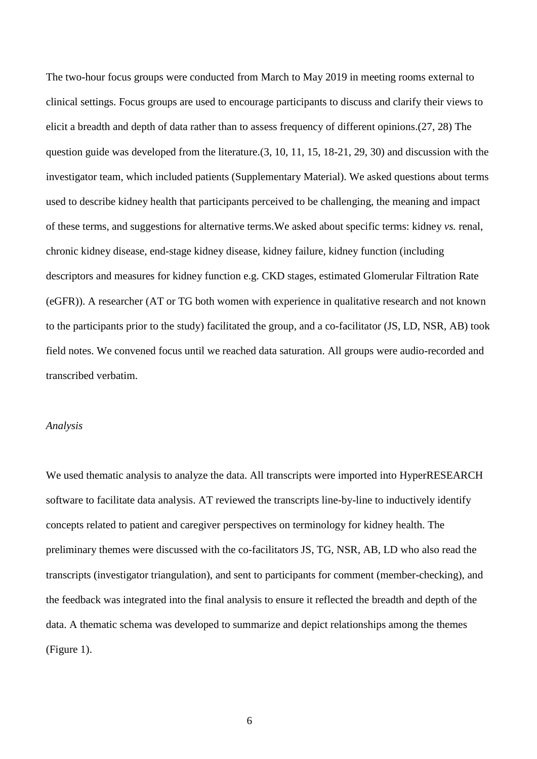The two-hour focus groups were conducted from March to May 2019 in meeting rooms external to clinical settings. Focus groups are used to encourage participants to discuss and clarify their views to elicit a breadth and depth of data rather than to assess frequency of different opinions.[\(27,](#page-20-4) [28\)](#page-20-5) The question guide was developed from the literature.[\(3,](#page-18-5) [10,](#page-18-4) [11,](#page-19-4) [15,](#page-19-3) [18-21,](#page-19-2) [29,](#page-20-6) [30\)](#page-21-0) and discussion with the investigator team, which included patients (Supplementary Material). We asked questions about terms used to describe kidney health that participants perceived to be challenging, the meaning and impact of these terms, and suggestions for alternative terms.We asked about specific terms: kidney *vs.* renal, chronic kidney disease, end-stage kidney disease, kidney failure, kidney function (including descriptors and measures for kidney function e.g. CKD stages, estimated Glomerular Filtration Rate (eGFR)). A researcher (AT or TG both women with experience in qualitative research and not known to the participants prior to the study) facilitated the group, and a co-facilitator (JS, LD, NSR, AB) took field notes. We convened focus until we reached data saturation. All groups were audio-recorded and transcribed verbatim.

## *Analysis*

We used thematic analysis to analyze the data. All transcripts were imported into HyperRESEARCH software to facilitate data analysis. AT reviewed the transcripts line-by-line to inductively identify concepts related to patient and caregiver perspectives on terminology for kidney health. The preliminary themes were discussed with the co-facilitators JS, TG, NSR, AB, LD who also read the transcripts (investigator triangulation), and sent to participants for comment (member-checking), and the feedback was integrated into the final analysis to ensure it reflected the breadth and depth of the data. A thematic schema was developed to summarize and depict relationships among the themes (Figure 1).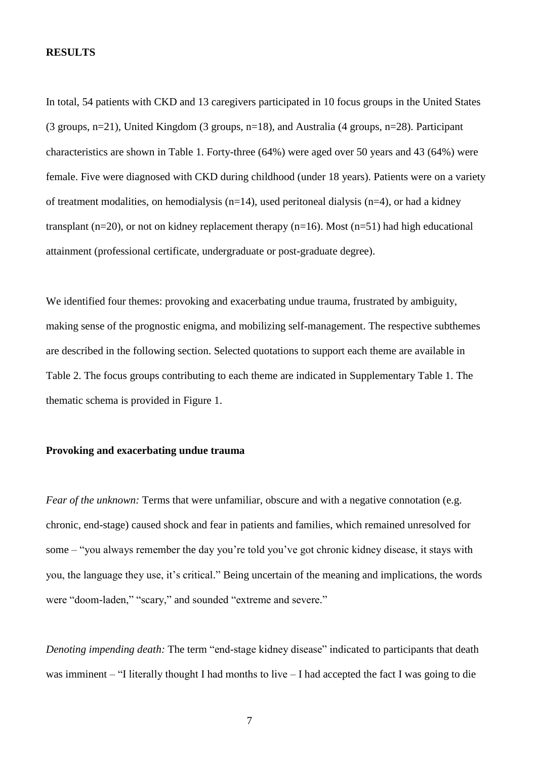#### **RESULTS**

In total, 54 patients with CKD and 13 caregivers participated in 10 focus groups in the United States (3 groups, n=21), United Kingdom (3 groups, n=18), and Australia (4 groups, n=28). Participant characteristics are shown in Table 1. Forty-three (64%) were aged over 50 years and 43 (64%) were female. Five were diagnosed with CKD during childhood (under 18 years). Patients were on a variety of treatment modalities, on hemodialysis (n=14), used peritoneal dialysis (n=4), or had a kidney transplant (n=20), or not on kidney replacement therapy (n=16). Most (n=51) had high educational attainment (professional certificate, undergraduate or post-graduate degree).

We identified four themes: provoking and exacerbating undue trauma, frustrated by ambiguity, making sense of the prognostic enigma, and mobilizing self-management. The respective subthemes are described in the following section. Selected quotations to support each theme are available in Table 2. The focus groups contributing to each theme are indicated in Supplementary Table 1. The thematic schema is provided in Figure 1.

## **Provoking and exacerbating undue trauma**

*Fear of the unknown:* Terms that were unfamiliar, obscure and with a negative connotation (e.g. chronic, end-stage) caused shock and fear in patients and families, which remained unresolved for some – "you always remember the day you're told you've got chronic kidney disease, it stays with you, the language they use, it's critical." Being uncertain of the meaning and implications, the words were "doom-laden," "scary," and sounded "extreme and severe."

*Denoting impending death:* The term "end-stage kidney disease" indicated to participants that death was imminent – "I literally thought I had months to live – I had accepted the fact I was going to die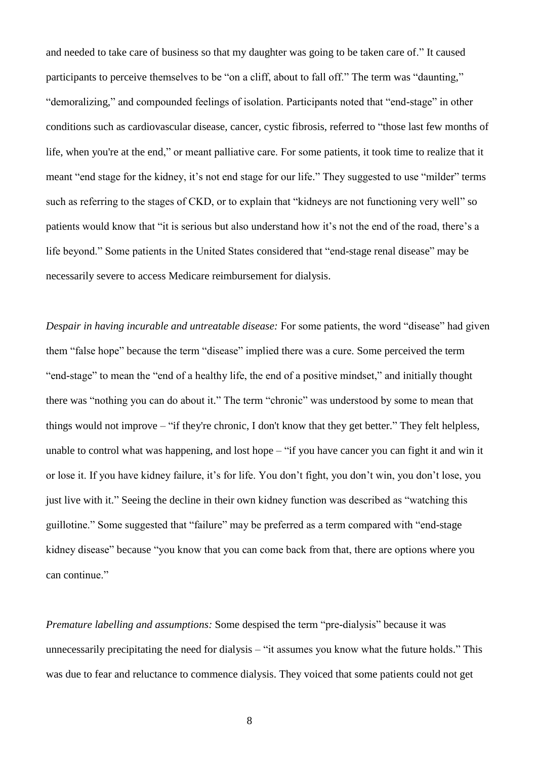and needed to take care of business so that my daughter was going to be taken care of." It caused participants to perceive themselves to be "on a cliff, about to fall off." The term was "daunting," "demoralizing," and compounded feelings of isolation. Participants noted that "end-stage" in other conditions such as cardiovascular disease, cancer, cystic fibrosis, referred to "those last few months of life, when you're at the end," or meant palliative care. For some patients, it took time to realize that it meant "end stage for the kidney, it's not end stage for our life." They suggested to use "milder" terms such as referring to the stages of CKD, or to explain that "kidneys are not functioning very well" so patients would know that "it is serious but also understand how it's not the end of the road, there's a life beyond." Some patients in the United States considered that "end-stage renal disease" may be necessarily severe to access Medicare reimbursement for dialysis.

*Despair in having incurable and untreatable disease:* For some patients, the word "disease" had given them "false hope" because the term "disease" implied there was a cure. Some perceived the term "end-stage" to mean the "end of a healthy life, the end of a positive mindset," and initially thought there was "nothing you can do about it." The term "chronic" was understood by some to mean that things would not improve – "if they're chronic, I don't know that they get better." They felt helpless, unable to control what was happening, and lost hope – "if you have cancer you can fight it and win it or lose it. If you have kidney failure, it's for life. You don't fight, you don't win, you don't lose, you just live with it." Seeing the decline in their own kidney function was described as "watching this guillotine." Some suggested that "failure" may be preferred as a term compared with "end-stage kidney disease" because "you know that you can come back from that, there are options where you can continue."

*Premature labelling and assumptions:* Some despised the term "pre-dialysis" because it was unnecessarily precipitating the need for dialysis – "it assumes you know what the future holds." This was due to fear and reluctance to commence dialysis. They voiced that some patients could not get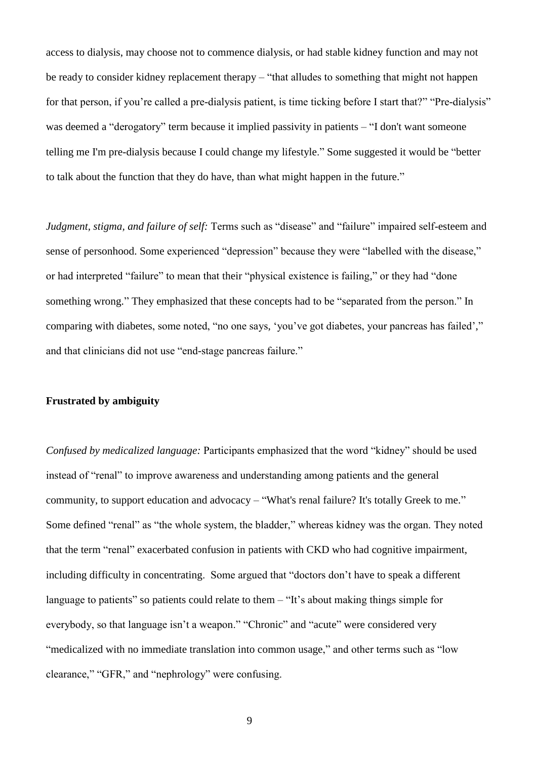access to dialysis, may choose not to commence dialysis, or had stable kidney function and may not be ready to consider kidney replacement therapy – "that alludes to something that might not happen for that person, if you're called a pre-dialysis patient, is time ticking before I start that?" "Pre-dialysis" was deemed a "derogatory" term because it implied passivity in patients – "I don't want someone telling me I'm pre-dialysis because I could change my lifestyle." Some suggested it would be "better to talk about the function that they do have, than what might happen in the future."

*Judgment, stigma, and failure of self:* Terms such as "disease" and "failure" impaired self-esteem and sense of personhood. Some experienced "depression" because they were "labelled with the disease," or had interpreted "failure" to mean that their "physical existence is failing," or they had "done something wrong." They emphasized that these concepts had to be "separated from the person." In comparing with diabetes, some noted, "no one says, 'you've got diabetes, your pancreas has failed'," and that clinicians did not use "end-stage pancreas failure."

## **Frustrated by ambiguity**

*Confused by medicalized language:* Participants emphasized that the word "kidney" should be used instead of "renal" to improve awareness and understanding among patients and the general community, to support education and advocacy – "What's renal failure? It's totally Greek to me." Some defined "renal" as "the whole system, the bladder," whereas kidney was the organ. They noted that the term "renal" exacerbated confusion in patients with CKD who had cognitive impairment, including difficulty in concentrating. Some argued that "doctors don't have to speak a different language to patients" so patients could relate to them – "It's about making things simple for everybody, so that language isn't a weapon." "Chronic" and "acute" were considered very "medicalized with no immediate translation into common usage," and other terms such as "low clearance," "GFR," and "nephrology" were confusing.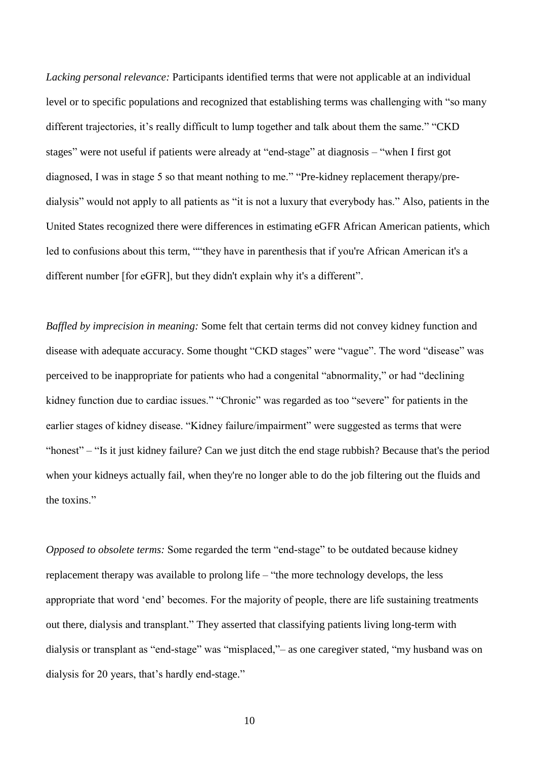*Lacking personal relevance:* Participants identified terms that were not applicable at an individual level or to specific populations and recognized that establishing terms was challenging with "so many different trajectories, it's really difficult to lump together and talk about them the same." "CKD stages" were not useful if patients were already at "end-stage" at diagnosis – "when I first got diagnosed, I was in stage 5 so that meant nothing to me." "Pre-kidney replacement therapy/predialysis" would not apply to all patients as "it is not a luxury that everybody has." Also, patients in the United States recognized there were differences in estimating eGFR African American patients, which led to confusions about this term, ""they have in parenthesis that if you're African American it's a different number [for eGFR], but they didn't explain why it's a different".

*Baffled by imprecision in meaning:* Some felt that certain terms did not convey kidney function and disease with adequate accuracy. Some thought "CKD stages" were "vague". The word "disease" was perceived to be inappropriate for patients who had a congenital "abnormality," or had "declining kidney function due to cardiac issues." "Chronic" was regarded as too "severe" for patients in the earlier stages of kidney disease. "Kidney failure/impairment" were suggested as terms that were "honest" – "Is it just kidney failure? Can we just ditch the end stage rubbish? Because that's the period when your kidneys actually fail, when they're no longer able to do the job filtering out the fluids and the toxins."

*Opposed to obsolete terms:* Some regarded the term "end-stage" to be outdated because kidney replacement therapy was available to prolong life – "the more technology develops, the less appropriate that word 'end' becomes. For the majority of people, there are life sustaining treatments out there, dialysis and transplant." They asserted that classifying patients living long-term with dialysis or transplant as "end-stage" was "misplaced,"– as one caregiver stated, "my husband was on dialysis for 20 years, that's hardly end-stage."

10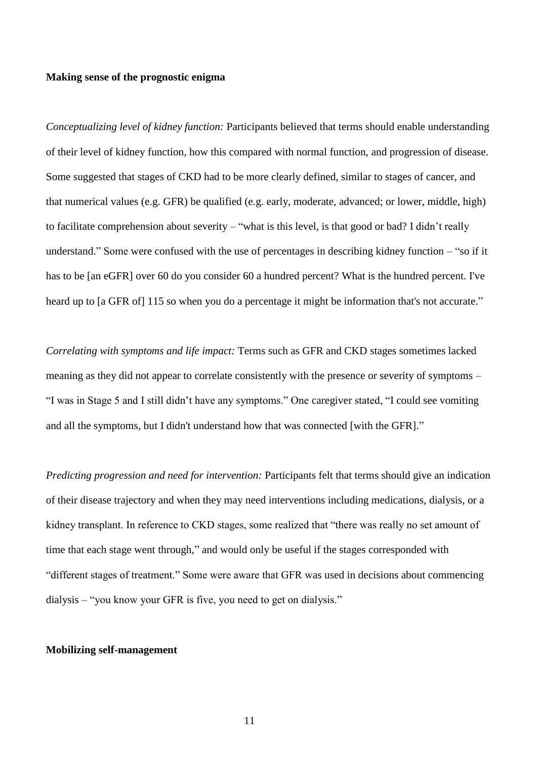#### **Making sense of the prognostic enigma**

*Conceptualizing level of kidney function:* Participants believed that terms should enable understanding of their level of kidney function, how this compared with normal function, and progression of disease. Some suggested that stages of CKD had to be more clearly defined, similar to stages of cancer, and that numerical values (e.g. GFR) be qualified (e.g. early, moderate, advanced; or lower, middle, high) to facilitate comprehension about severity – "what is this level, is that good or bad? I didn't really understand." Some were confused with the use of percentages in describing kidney function – "so if it has to be [an eGFR] over 60 do you consider 60 a hundred percent? What is the hundred percent. I've heard up to [a GFR of] 115 so when you do a percentage it might be information that's not accurate."

*Correlating with symptoms and life impact:* Terms such as GFR and CKD stages sometimes lacked meaning as they did not appear to correlate consistently with the presence or severity of symptoms – "I was in Stage 5 and I still didn't have any symptoms." One caregiver stated, "I could see vomiting and all the symptoms, but I didn't understand how that was connected [with the GFR]."

*Predicting progression and need for intervention:* Participants felt that terms should give an indication of their disease trajectory and when they may need interventions including medications, dialysis, or a kidney transplant. In reference to CKD stages, some realized that "there was really no set amount of time that each stage went through," and would only be useful if the stages corresponded with "different stages of treatment." Some were aware that GFR was used in decisions about commencing dialysis – "you know your GFR is five, you need to get on dialysis."

#### **Mobilizing self-management**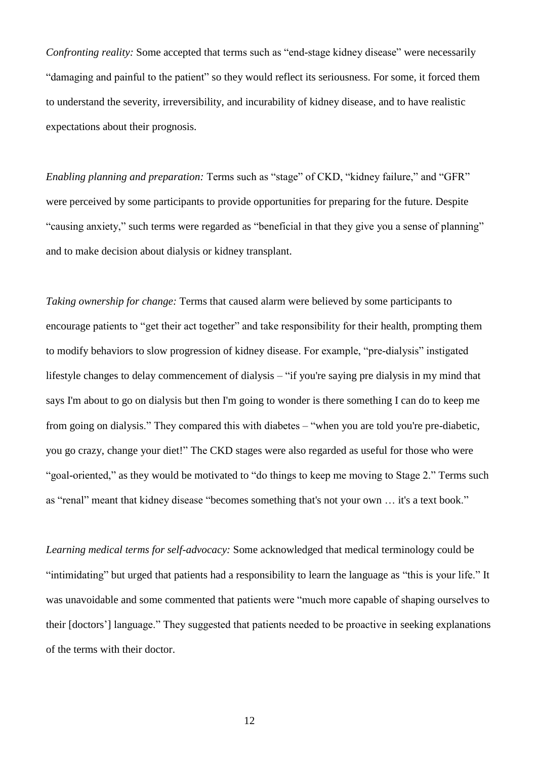*Confronting reality:* Some accepted that terms such as "end-stage kidney disease" were necessarily "damaging and painful to the patient" so they would reflect its seriousness. For some, it forced them to understand the severity, irreversibility, and incurability of kidney disease, and to have realistic expectations about their prognosis.

*Enabling planning and preparation:* Terms such as "stage" of CKD, "kidney failure," and "GFR" were perceived by some participants to provide opportunities for preparing for the future. Despite "causing anxiety," such terms were regarded as "beneficial in that they give you a sense of planning" and to make decision about dialysis or kidney transplant.

*Taking ownership for change:* Terms that caused alarm were believed by some participants to encourage patients to "get their act together" and take responsibility for their health, prompting them to modify behaviors to slow progression of kidney disease. For example, "pre-dialysis" instigated lifestyle changes to delay commencement of dialysis – "if you're saying pre dialysis in my mind that says I'm about to go on dialysis but then I'm going to wonder is there something I can do to keep me from going on dialysis." They compared this with diabetes – "when you are told you're pre-diabetic, you go crazy, change your diet!" The CKD stages were also regarded as useful for those who were "goal-oriented," as they would be motivated to "do things to keep me moving to Stage 2." Terms such as "renal" meant that kidney disease "becomes something that's not your own … it's a text book."

*Learning medical terms for self-advocacy:* Some acknowledged that medical terminology could be "intimidating" but urged that patients had a responsibility to learn the language as "this is your life." It was unavoidable and some commented that patients were "much more capable of shaping ourselves to their [doctors'] language." They suggested that patients needed to be proactive in seeking explanations of the terms with their doctor.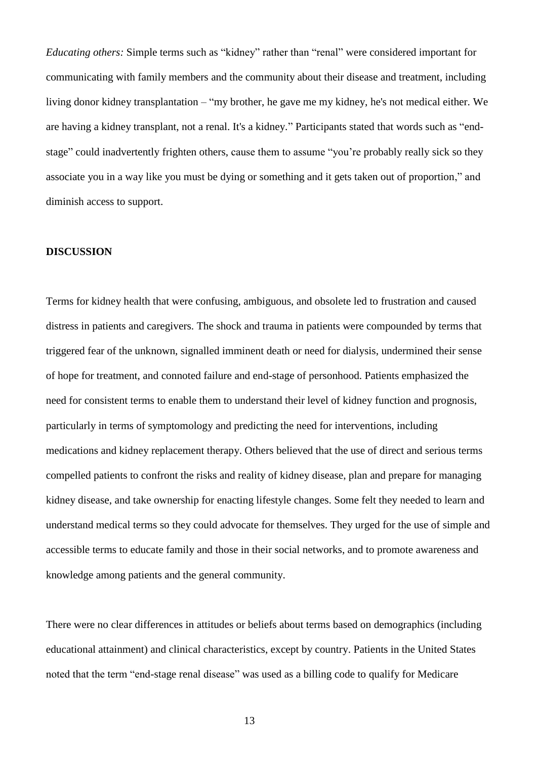*Educating others:* Simple terms such as "kidney" rather than "renal" were considered important for communicating with family members and the community about their disease and treatment, including living donor kidney transplantation – "my brother, he gave me my kidney, he's not medical either. We are having a kidney transplant, not a renal. It's a kidney." Participants stated that words such as "endstage" could inadvertently frighten others, cause them to assume "you're probably really sick so they associate you in a way like you must be dying or something and it gets taken out of proportion," and diminish access to support.

## **DISCUSSION**

Terms for kidney health that were confusing, ambiguous, and obsolete led to frustration and caused distress in patients and caregivers. The shock and trauma in patients were compounded by terms that triggered fear of the unknown, signalled imminent death or need for dialysis, undermined their sense of hope for treatment, and connoted failure and end-stage of personhood. Patients emphasized the need for consistent terms to enable them to understand their level of kidney function and prognosis, particularly in terms of symptomology and predicting the need for interventions, including medications and kidney replacement therapy. Others believed that the use of direct and serious terms compelled patients to confront the risks and reality of kidney disease, plan and prepare for managing kidney disease, and take ownership for enacting lifestyle changes. Some felt they needed to learn and understand medical terms so they could advocate for themselves. They urged for the use of simple and accessible terms to educate family and those in their social networks, and to promote awareness and knowledge among patients and the general community.

There were no clear differences in attitudes or beliefs about terms based on demographics (including educational attainment) and clinical characteristics, except by country. Patients in the United States noted that the term "end-stage renal disease" was used as a billing code to qualify for Medicare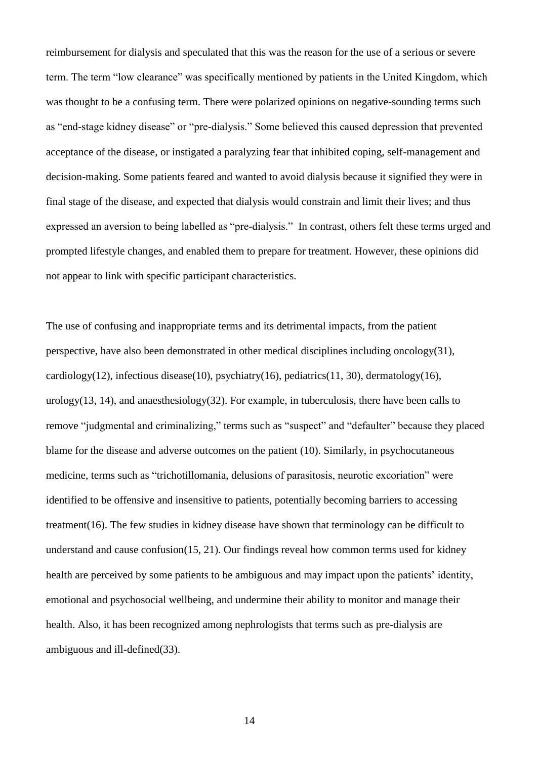reimbursement for dialysis and speculated that this was the reason for the use of a serious or severe term. The term "low clearance" was specifically mentioned by patients in the United Kingdom, which was thought to be a confusing term. There were polarized opinions on negative-sounding terms such as "end-stage kidney disease" or "pre-dialysis." Some believed this caused depression that prevented acceptance of the disease, or instigated a paralyzing fear that inhibited coping, self-management and decision-making. Some patients feared and wanted to avoid dialysis because it signified they were in final stage of the disease, and expected that dialysis would constrain and limit their lives; and thus expressed an aversion to being labelled as "pre-dialysis." In contrast, others felt these terms urged and prompted lifestyle changes, and enabled them to prepare for treatment. However, these opinions did not appear to link with specific participant characteristics.

The use of confusing and inappropriate terms and its detrimental impacts, from the patient perspective, have also been demonstrated in other medical disciplines including oncology[\(31\)](#page-21-1), cardiology[\(12\)](#page-19-5), infectious disease[\(10\)](#page-18-4), psychiatry[\(16\)](#page-19-6), pediatrics[\(11,](#page-19-4) [30\)](#page-21-0), dermatology(16), urology[\(13,](#page-19-7) [14\)](#page-19-8), and anaesthesiology[\(32\)](#page-21-2). For example, in tuberculosis, there have been calls to remove "judgmental and criminalizing," terms such as "suspect" and "defaulter" because they placed blame for the disease and adverse outcomes on the patient [\(10\)](#page-18-4). Similarly, in psychocutaneous medicine, terms such as "trichotillomania, delusions of parasitosis, neurotic excoriation" were identified to be offensive and insensitive to patients, potentially becoming barriers to accessing treatment[\(16\)](#page-19-6). The few studies in kidney disease have shown that terminology can be difficult to understand and cause confusion[\(15,](#page-19-3) [21\)](#page-20-2). Our findings reveal how common terms used for kidney health are perceived by some patients to be ambiguous and may impact upon the patients' identity, emotional and psychosocial wellbeing, and undermine their ability to monitor and manage their health. Also, it has been recognized among nephrologists that terms such as pre-dialysis are ambiguous and ill-defined[\(33\)](#page-21-3).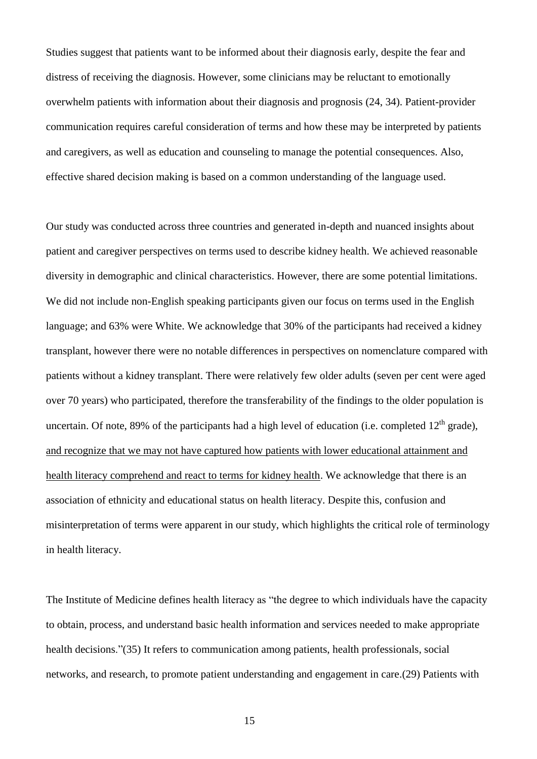Studies suggest that patients want to be informed about their diagnosis early, despite the fear and distress of receiving the diagnosis. However, some clinicians may be reluctant to emotionally overwhelm patients with information about their diagnosis and prognosis [\(24,](#page-20-7) [34\)](#page-21-4). Patient-provider communication requires careful consideration of terms and how these may be interpreted by patients and caregivers, as well as education and counseling to manage the potential consequences. Also, effective shared decision making is based on a common understanding of the language used.

Our study was conducted across three countries and generated in-depth and nuanced insights about patient and caregiver perspectives on terms used to describe kidney health. We achieved reasonable diversity in demographic and clinical characteristics. However, there are some potential limitations. We did not include non-English speaking participants given our focus on terms used in the English language; and 63% were White. We acknowledge that 30% of the participants had received a kidney transplant, however there were no notable differences in perspectives on nomenclature compared with patients without a kidney transplant. There were relatively few older adults (seven per cent were aged over 70 years) who participated, therefore the transferability of the findings to the older population is uncertain. Of note, 89% of the participants had a high level of education (i.e. completed  $12<sup>th</sup>$  grade), and recognize that we may not have captured how patients with lower educational attainment and health literacy comprehend and react to terms for kidney health. We acknowledge that there is an association of ethnicity and educational status on health literacy. Despite this, confusion and misinterpretation of terms were apparent in our study, which highlights the critical role of terminology in health literacy.

The Institute of Medicine defines health literacy as "the degree to which individuals have the capacity to obtain, process, and understand basic health information and services needed to make appropriate health decisions."[\(35\)](#page-21-5) It refers to communication among patients, health professionals, social networks, and research, to promote patient understanding and engagement in care.[\(29\)](#page-20-6) Patients with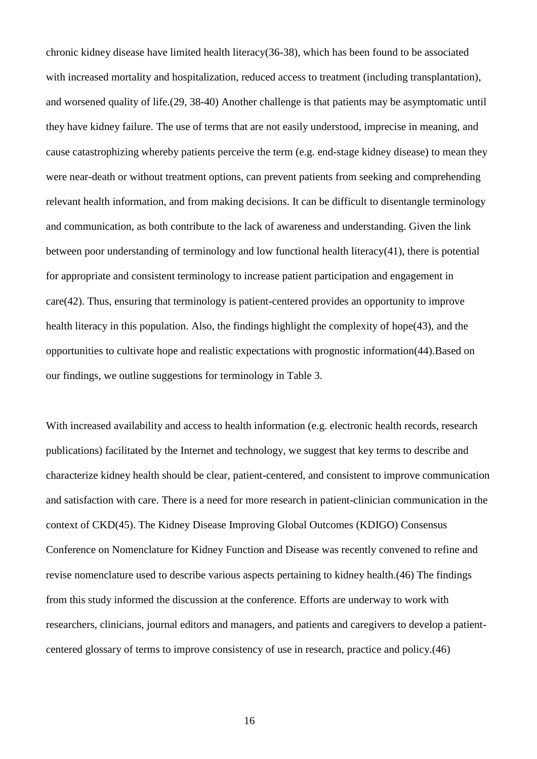chronic kidney disease have limited health literacy[\(36-38\)](#page-21-6), which has been found to be associated with increased mortality and hospitalization, reduced access to treatment (including transplantation), and worsened quality of life.[\(29,](#page-20-6) [38-40\)](#page-21-7) Another challenge is that patients may be asymptomatic until they have kidney failure. The use of terms that are not easily understood, imprecise in meaning, and cause catastrophizing whereby patients perceive the term (e.g. end-stage kidney disease) to mean they were near-death or without treatment options, can prevent patients from seeking and comprehending relevant health information, and from making decisions. It can be difficult to disentangle terminology and communication, as both contribute to the lack of awareness and understanding. Given the link between poor understanding of terminology and low functional health literacy[\(41\)](#page-22-0), there is potential for appropriate and consistent terminology to increase patient participation and engagement in care[\(42\)](#page-22-1). Thus, ensuring that terminology is patient-centered provides an opportunity to improve health literacy in this population. Also, the findings highlight the complexity of hope[\(43\)](#page-22-2), and the opportunities to cultivate hope and realistic expectations with prognostic information[\(44\)](#page-22-3).Based on our findings, we outline suggestions for terminology in Table 3.

With increased availability and access to health information (e.g. electronic health records, research publications) facilitated by the Internet and technology, we suggest that key terms to describe and characterize kidney health should be clear, patient-centered, and consistent to improve communication and satisfaction with care. There is a need for more research in patient-clinician communication in the context of CKD[\(45\)](#page-22-4). The Kidney Disease Improving Global Outcomes (KDIGO) Consensus Conference on Nomenclature for Kidney Function and Disease was recently convened to refine and revise nomenclature used to describe various aspects pertaining to kidney health.[\(46\)](#page-22-5) The findings from this study informed the discussion at the conference. Efforts are underway to work with researchers, clinicians, journal editors and managers, and patients and caregivers to develop a patientcentered glossary of terms to improve consistency of use in research, practice and policy.[\(46\)](#page-22-5)

16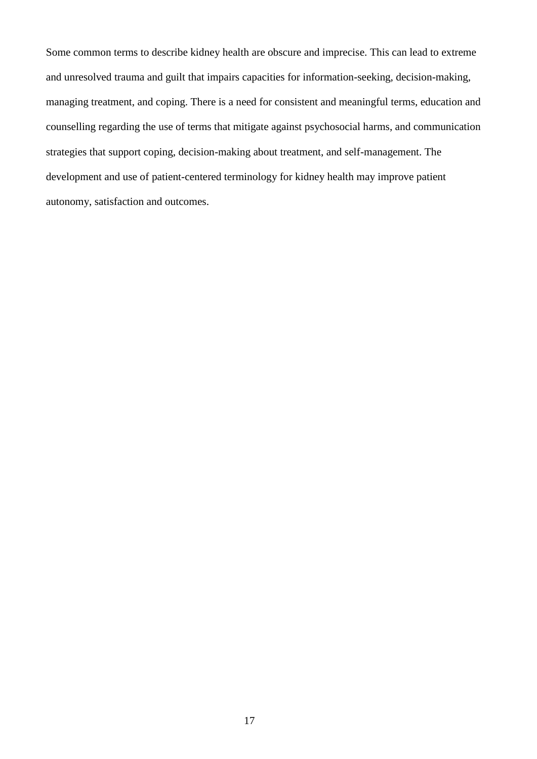Some common terms to describe kidney health are obscure and imprecise. This can lead to extreme and unresolved trauma and guilt that impairs capacities for information-seeking, decision-making, managing treatment, and coping. There is a need for consistent and meaningful terms, education and counselling regarding the use of terms that mitigate against psychosocial harms, and communication strategies that support coping, decision-making about treatment, and self-management. The development and use of patient-centered terminology for kidney health may improve patient autonomy, satisfaction and outcomes.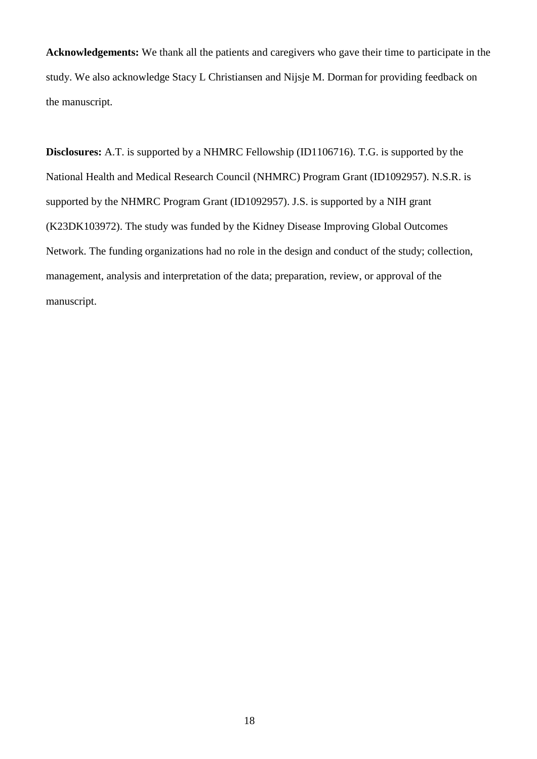**Acknowledgements:** We thank all the patients and caregivers who gave their time to participate in the study. We also acknowledge Stacy L Christiansen and Nijsje M. Dorman for providing feedback on the manuscript.

**Disclosures:** A.T. is supported by a NHMRC Fellowship (ID1106716). T.G. is supported by the National Health and Medical Research Council (NHMRC) Program Grant (ID1092957). N.S.R. is supported by the NHMRC Program Grant (ID1092957). J.S. is supported by a NIH grant (K23DK103972). The study was funded by the Kidney Disease Improving Global Outcomes Network. The funding organizations had no role in the design and conduct of the study; collection, management, analysis and interpretation of the data; preparation, review, or approval of the manuscript.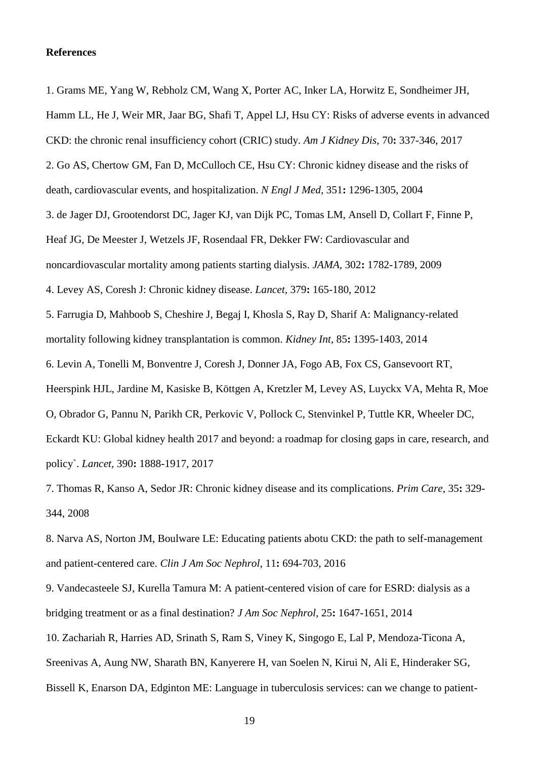## **References**

<span id="page-18-0"></span>1. Grams ME, Yang W, Rebholz CM, Wang X, Porter AC, Inker LA, Horwitz E, Sondheimer JH,

<span id="page-18-5"></span><span id="page-18-1"></span>Hamm LL, He J, Weir MR, Jaar BG, Shafi T, Appel LJ, Hsu CY: Risks of adverse events in advanced CKD: the chronic renal insufficiency cohort (CRIC) study. *Am J Kidney Dis,* 70**:** 337-346, 2017 2. Go AS, Chertow GM, Fan D, McCulloch CE, Hsu CY: Chronic kidney disease and the risks of death, cardiovascular events, and hospitalization. *N Engl J Med,* 351**:** 1296-1305, 2004 3. de Jager DJ, Grootendorst DC, Jager KJ, van Dijk PC, Tomas LM, Ansell D, Collart F, Finne P, Heaf JG, De Meester J, Wetzels JF, Rosendaal FR, Dekker FW: Cardiovascular and noncardiovascular mortality among patients starting dialysis. *JAMA,* 302**:** 1782-1789, 2009 4. Levey AS, Coresh J: Chronic kidney disease. *Lancet,* 379**:** 165-180, 2012 5. Farrugia D, Mahboob S, Cheshire J, Begaj I, Khosla S, Ray D, Sharif A: Malignancy-related mortality following kidney transplantation is common. *Kidney Int,* 85**:** 1395-1403, 2014 6. Levin A, Tonelli M, Bonventre J, Coresh J, Donner JA, Fogo AB, Fox CS, Gansevoort RT, Heerspink HJL, Jardine M, Kasiske B, Köttgen A, Kretzler M, Levey AS, Luyckx VA, Mehta R, Moe O, Obrador G, Pannu N, Parikh CR, Perkovic V, Pollock C, Stenvinkel P, Tuttle KR, Wheeler DC, Eckardt KU: Global kidney health 2017 and beyond: a roadmap for closing gaps in care, research, and policy`. *Lancet,* 390**:** 1888-1917, 2017

<span id="page-18-2"></span>7. Thomas R, Kanso A, Sedor JR: Chronic kidney disease and its complications. *Prim Care,* 35**:** 329- 344, 2008

<span id="page-18-3"></span>8. Narva AS, Norton JM, Boulware LE: Educating patients abotu CKD: the path to self-management and patient-centered care. *Clin J Am Soc Nephrol,* 11**:** 694-703, 2016

<span id="page-18-4"></span>9. Vandecasteele SJ, Kurella Tamura M: A patient-centered vision of care for ESRD: dialysis as a bridging treatment or as a final destination? *J Am Soc Nephrol,* 25**:** 1647-1651, 2014 10. Zachariah R, Harries AD, Srinath S, Ram S, Viney K, Singogo E, Lal P, Mendoza-Ticona A, Sreenivas A, Aung NW, Sharath BN, Kanyerere H, van Soelen N, Kirui N, Ali E, Hinderaker SG, Bissell K, Enarson DA, Edginton ME: Language in tuberculosis services: can we change to patient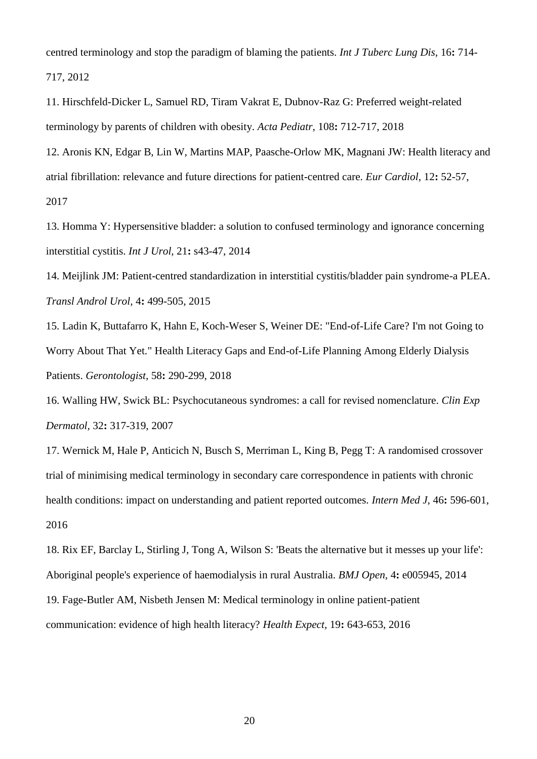centred terminology and stop the paradigm of blaming the patients. *Int J Tuberc Lung Dis,* 16**:** 714- 717, 2012

<span id="page-19-4"></span>11. Hirschfeld-Dicker L, Samuel RD, Tiram Vakrat E, Dubnov-Raz G: Preferred weight-related terminology by parents of children with obesity. *Acta Pediatr,* 108**:** 712-717, 2018

<span id="page-19-5"></span>12. Aronis KN, Edgar B, Lin W, Martins MAP, Paasche-Orlow MK, Magnani JW: Health literacy and atrial fibrillation: relevance and future directions for patient-centred care. *Eur Cardiol,* 12**:** 52-57, 2017

<span id="page-19-7"></span>13. Homma Y: Hypersensitive bladder: a solution to confused terminology and ignorance concerning interstitial cystitis. *Int J Urol,* 21**:** s43-47, 2014

<span id="page-19-8"></span>14. Meijlink JM: Patient-centred standardization in interstitial cystitis/bladder pain syndrome-a PLEA. *Transl Androl Urol,* 4**:** 499-505, 2015

<span id="page-19-3"></span>15. Ladin K, Buttafarro K, Hahn E, Koch-Weser S, Weiner DE: "End-of-Life Care? I'm not Going to Worry About That Yet." Health Literacy Gaps and End-of-Life Planning Among Elderly Dialysis Patients. *Gerontologist,* 58**:** 290-299, 2018

<span id="page-19-6"></span>16. Walling HW, Swick BL: Psychocutaneous syndromes: a call for revised nomenclature. *Clin Exp Dermatol,* 32**:** 317-319, 2007

<span id="page-19-1"></span>17. Wernick M, Hale P, Anticich N, Busch S, Merriman L, King B, Pegg T: A randomised crossover trial of minimising medical terminology in secondary care correspondence in patients with chronic health conditions: impact on understanding and patient reported outcomes. *Intern Med J*, 46: 596-601, 2016

<span id="page-19-2"></span><span id="page-19-0"></span>18. Rix EF, Barclay L, Stirling J, Tong A, Wilson S: 'Beats the alternative but it messes up your life': Aboriginal people's experience of haemodialysis in rural Australia. *BMJ Open,* 4**:** e005945, 2014 19. Fage-Butler AM, Nisbeth Jensen M: Medical terminology in online patient-patient communication: evidence of high health literacy? *Health Expect,* 19**:** 643-653, 2016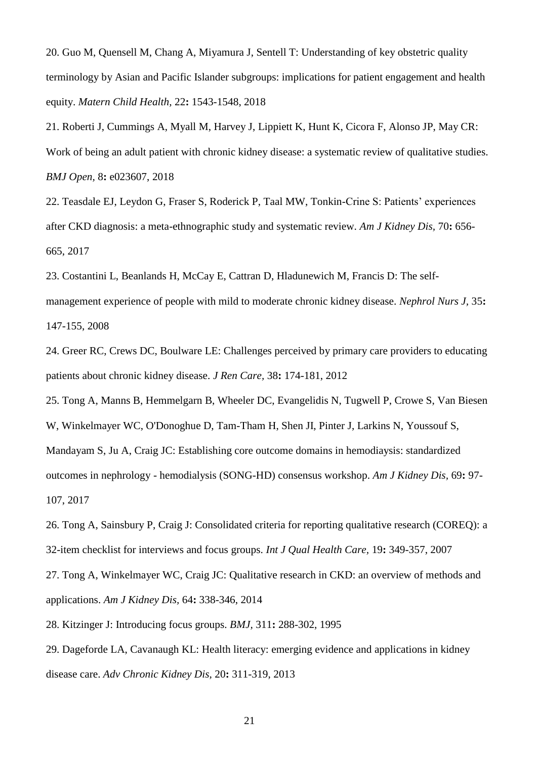20. Guo M, Quensell M, Chang A, Miyamura J, Sentell T: Understanding of key obstetric quality terminology by Asian and Pacific Islander subgroups: implications for patient engagement and health equity. *Matern Child Health,* 22**:** 1543-1548, 2018

<span id="page-20-2"></span>21. Roberti J, Cummings A, Myall M, Harvey J, Lippiett K, Hunt K, Cicora F, Alonso JP, May CR: Work of being an adult patient with chronic kidney disease: a systematic review of qualitative studies. *BMJ Open,* 8**:** e023607, 2018

<span id="page-20-0"></span>22. Teasdale EJ, Leydon G, Fraser S, Roderick P, Taal MW, Tonkin-Crine S: Patients' experiences after CKD diagnosis: a meta-ethnographic study and systematic review. *Am J Kidney Dis,* 70**:** 656- 665, 2017

23. Costantini L, Beanlands H, McCay E, Cattran D, Hladunewich M, Francis D: The selfmanagement experience of people with mild to moderate chronic kidney disease. *Nephrol Nurs J,* 35**:**  147-155, 2008

<span id="page-20-7"></span>24. Greer RC, Crews DC, Boulware LE: Challenges perceived by primary care providers to educating patients about chronic kidney disease. *J Ren Care,* 38**:** 174-181, 2012

<span id="page-20-1"></span>25. Tong A, Manns B, Hemmelgarn B, Wheeler DC, Evangelidis N, Tugwell P, Crowe S, Van Biesen W, Winkelmayer WC, O'Donoghue D, Tam-Tham H, Shen JI, Pinter J, Larkins N, Youssouf S, Mandayam S, Ju A, Craig JC: Establishing core outcome domains in hemodiaysis: standardized outcomes in nephrology - hemodialysis (SONG-HD) consensus workshop. *Am J Kidney Dis,* 69**:** 97- 107, 2017

<span id="page-20-3"></span>26. Tong A, Sainsbury P, Craig J: Consolidated criteria for reporting qualitative research (COREQ): a 32-item checklist for interviews and focus groups. *Int J Qual Health Care,* 19**:** 349-357, 2007

<span id="page-20-4"></span>27. Tong A, Winkelmayer WC, Craig JC: Qualitative research in CKD: an overview of methods and applications. *Am J Kidney Dis,* 64**:** 338-346, 2014

<span id="page-20-5"></span>28. Kitzinger J: Introducing focus groups. *BMJ,* 311**:** 288-302, 1995

<span id="page-20-6"></span>29. Dageforde LA, Cavanaugh KL: Health literacy: emerging evidence and applications in kidney disease care. *Adv Chronic Kidney Dis,* 20**:** 311-319, 2013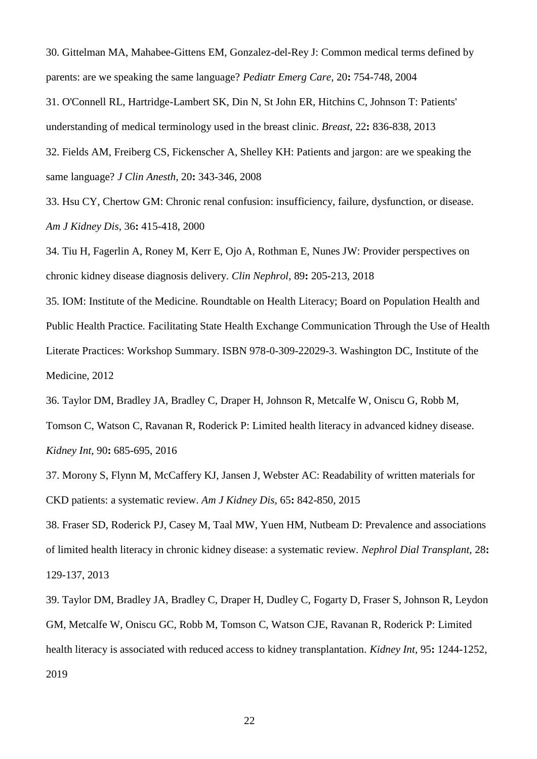<span id="page-21-0"></span>30. Gittelman MA, Mahabee-Gittens EM, Gonzalez-del-Rey J: Common medical terms defined by parents: are we speaking the same language? *Pediatr Emerg Care,* 20**:** 754-748, 2004

<span id="page-21-1"></span>31. O'Connell RL, Hartridge-Lambert SK, Din N, St John ER, Hitchins C, Johnson T: Patients' understanding of medical terminology used in the breast clinic. *Breast,* 22**:** 836-838, 2013

<span id="page-21-2"></span>32. Fields AM, Freiberg CS, Fickenscher A, Shelley KH: Patients and jargon: are we speaking the same language? *J Clin Anesth,* 20**:** 343-346, 2008

<span id="page-21-3"></span>33. Hsu CY, Chertow GM: Chronic renal confusion: insufficiency, failure, dysfunction, or disease. *Am J Kidney Dis,* 36**:** 415-418, 2000

<span id="page-21-4"></span>34. Tiu H, Fagerlin A, Roney M, Kerr E, Ojo A, Rothman E, Nunes JW: Provider perspectives on chronic kidney disease diagnosis delivery. *Clin Nephrol,* 89**:** 205-213, 2018

<span id="page-21-5"></span>35. IOM: Institute of the Medicine. Roundtable on Health Literacy; Board on Population Health and Public Health Practice. Facilitating State Health Exchange Communication Through the Use of Health Literate Practices: Workshop Summary. ISBN 978-0-309-22029-3. Washington DC, Institute of the Medicine, 2012

<span id="page-21-6"></span>36. Taylor DM, Bradley JA, Bradley C, Draper H, Johnson R, Metcalfe W, Oniscu G, Robb M,

Tomson C, Watson C, Ravanan R, Roderick P: Limited health literacy in advanced kidney disease. *Kidney Int,* 90**:** 685-695, 2016

37. Morony S, Flynn M, McCaffery KJ, Jansen J, Webster AC: Readability of written materials for CKD patients: a systematic review. *Am J Kidney Dis,* 65**:** 842-850, 2015

<span id="page-21-7"></span>38. Fraser SD, Roderick PJ, Casey M, Taal MW, Yuen HM, Nutbeam D: Prevalence and associations of limited health literacy in chronic kidney disease: a systematic review. *Nephrol Dial Transplant,* 28**:**  129-137, 2013

39. Taylor DM, Bradley JA, Bradley C, Draper H, Dudley C, Fogarty D, Fraser S, Johnson R, Leydon GM, Metcalfe W, Oniscu GC, Robb M, Tomson C, Watson CJE, Ravanan R, Roderick P: Limited health literacy is associated with reduced access to kidney transplantation. *Kidney Int,* 95**:** 1244-1252, 2019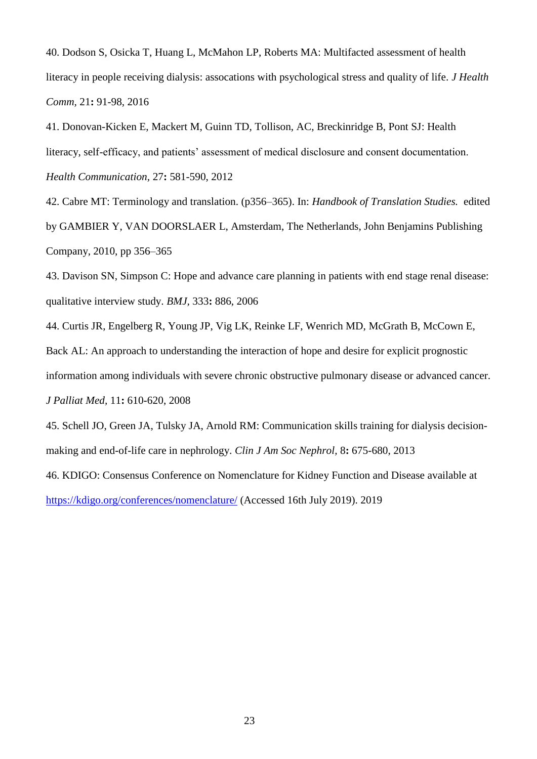40. Dodson S, Osicka T, Huang L, McMahon LP, Roberts MA: Multifacted assessment of health literacy in people receiving dialysis: assocations with psychological stress and quality of life. *J Health Comm,* 21**:** 91-98, 2016

<span id="page-22-0"></span>41. Donovan-Kicken E, Mackert M, Guinn TD, Tollison, AC, Breckinridge B, Pont SJ: Health literacy, self-efficacy, and patients' assessment of medical disclosure and consent documentation. *Health Communication,* 27**:** 581-590, 2012

<span id="page-22-1"></span>42. Cabre MT: Terminology and translation. (p356–365). In: *Handbook of Translation Studies.* edited by GAMBIER Y, VAN DOORSLAER L, Amsterdam, The Netherlands, John Benjamins Publishing Company, 2010, pp 356–365

<span id="page-22-2"></span>43. Davison SN, Simpson C: Hope and advance care planning in patients with end stage renal disease: qualitative interview study. *BMJ,* 333**:** 886, 2006

<span id="page-22-3"></span>44. Curtis JR, Engelberg R, Young JP, Vig LK, Reinke LF, Wenrich MD, McGrath B, McCown E, Back AL: An approach to understanding the interaction of hope and desire for explicit prognostic information among individuals with severe chronic obstructive pulmonary disease or advanced cancer. *J Palliat Med,* 11**:** 610-620, 2008

<span id="page-22-4"></span>45. Schell JO, Green JA, Tulsky JA, Arnold RM: Communication skills training for dialysis decisionmaking and end-of-life care in nephrology. *Clin J Am Soc Nephrol,* 8**:** 675-680, 2013

<span id="page-22-5"></span>46. KDIGO: Consensus Conference on Nomenclature for Kidney Function and Disease available at <https://kdigo.org/conferences/nomenclature/> (Accessed 16th July 2019). 2019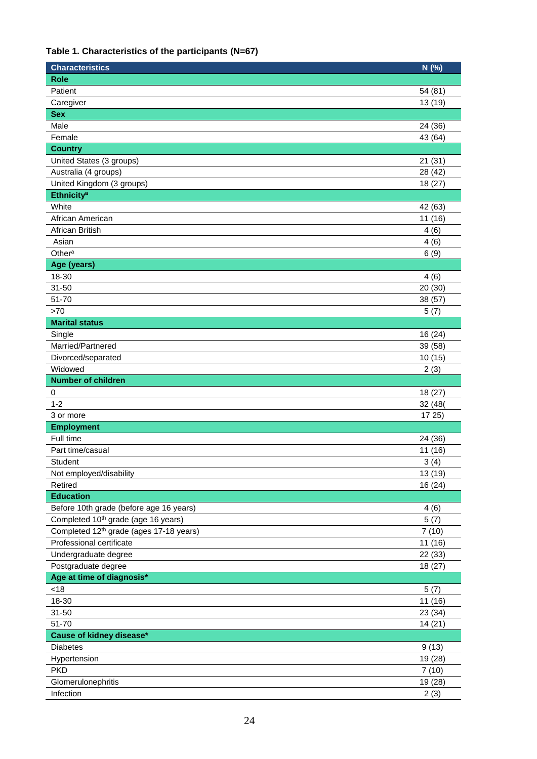## **Table 1. Characteristics of the participants (N=67)**

| <b>Characteristics</b>                              | N (%)   |
|-----------------------------------------------------|---------|
| <b>Role</b>                                         |         |
| Patient                                             | 54 (81) |
| Caregiver                                           | 13 (19) |
| <b>Sex</b>                                          |         |
| Male                                                | 24 (36) |
| Female                                              | 43 (64) |
| <b>Country</b>                                      |         |
| United States (3 groups)                            | 21(31)  |
| Australia (4 groups)                                | 28 (42) |
| United Kingdom (3 groups)                           | 18(27)  |
| <b>Ethnicity<sup>a</sup></b>                        |         |
| White                                               | 42 (63) |
| African American                                    | 11 (16) |
| African British                                     | 4(6)    |
| Asian                                               | 4(6)    |
| Other <sup>a</sup>                                  | 6(9)    |
| Age (years)                                         |         |
| 18-30                                               | 4(6)    |
| $31 - 50$                                           | 20 (30) |
| 51-70                                               | 38 (57) |
| >70                                                 | 5(7)    |
| <b>Marital status</b>                               |         |
| Single                                              | 16(24)  |
| Married/Partnered                                   | 39 (58) |
| Divorced/separated                                  | 10(15)  |
| Widowed                                             | 2(3)    |
| <b>Number of children</b>                           |         |
| 0                                                   | 18(27)  |
| $1 - 2$                                             | 32 (48) |
| 3 or more                                           | 1725    |
| <b>Employment</b>                                   |         |
| Full time                                           | 24 (36) |
| Part time/casual                                    | 11 (16) |
| Student                                             | 3(4)    |
| Not employed/disability                             | 13 (19) |
| Retired                                             | 16(24)  |
| <b>Education</b>                                    |         |
| Before 10th grade (before age 16 years)             | 4(6)    |
| Completed 10 <sup>th</sup> grade (age 16 years)     | 5(7)    |
| Completed 12 <sup>th</sup> grade (ages 17-18 years) | 7(10)   |
| Professional certificate                            | 11 (16) |
| Undergraduate degree                                | 22 (33) |
| Postgraduate degree                                 | 18 (27) |
| Age at time of diagnosis*                           |         |
| <18                                                 | 5(7)    |
| 18-30                                               | 11 (16) |
| $31 - 50$                                           | 23 (34) |
| 51-70                                               | 14(21)  |
| Cause of kidney disease*                            |         |
| <b>Diabetes</b>                                     | 9(13)   |
| Hypertension                                        | 19 (28) |
| <b>PKD</b>                                          | 7(10)   |
| Glomerulonephritis                                  | 19 (28) |
| Infection                                           | 2(3)    |
|                                                     |         |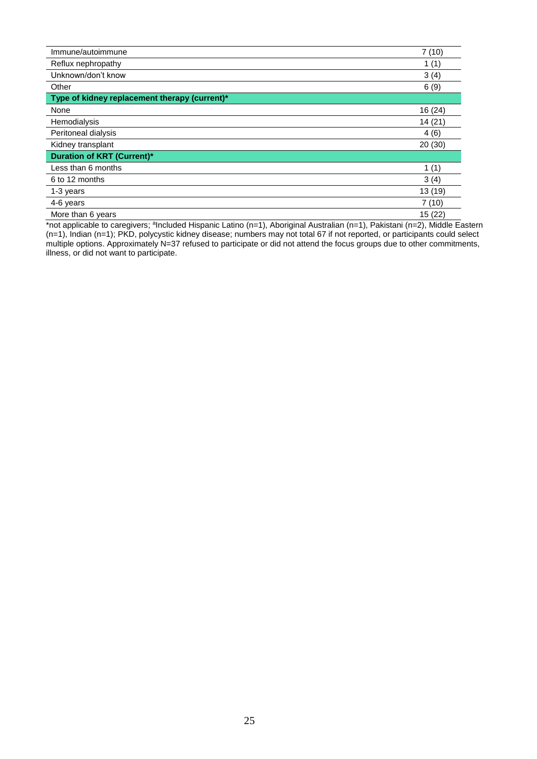| Immune/autoimmune                             | 7(10)   |
|-----------------------------------------------|---------|
| Reflux nephropathy                            | 1(1)    |
| Unknown/don't know                            | 3(4)    |
| Other                                         | 6(9)    |
| Type of kidney replacement therapy (current)* |         |
| None                                          | 16 (24) |
| Hemodialysis                                  | 14 (21) |
| Peritoneal dialysis                           | 4(6)    |
| Kidney transplant                             | 20 (30) |
| <b>Duration of KRT (Current)*</b>             |         |
| Less than 6 months                            | 1(1)    |
| 6 to 12 months                                | 3(4)    |
| 1-3 years                                     | 13 (19) |
| 4-6 years                                     | 7(10)   |
| More than 6 years                             | 15(22)  |

\*not applicable to caregivers; <sup>a</sup>lncluded Hispanic Latino (n=1), Aboriginal Australian (n=1), Pakistani (n=2), Middle Eastern (n=1), Indian (n=1); PKD, polycystic kidney disease; numbers may not total 67 if not reported, or participants could select multiple options. Approximately N=37 refused to participate or did not attend the focus groups due to other commitments, illness, or did not want to participate.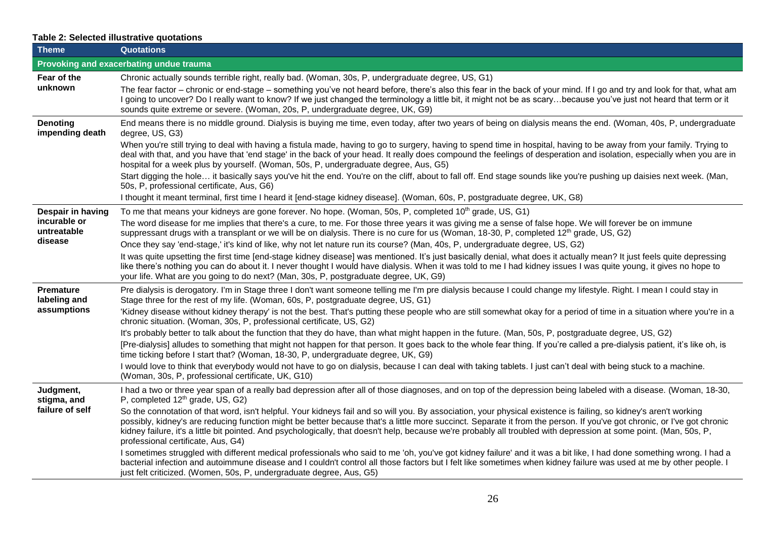# **Table 2: Selected illustrative quotations**

| <b>Theme</b>                                | <b>Quotations</b>                                                                                                                                                                                                                                                                                                                                                                                                                                                                                                                                         |
|---------------------------------------------|-----------------------------------------------------------------------------------------------------------------------------------------------------------------------------------------------------------------------------------------------------------------------------------------------------------------------------------------------------------------------------------------------------------------------------------------------------------------------------------------------------------------------------------------------------------|
|                                             | Provoking and exacerbating undue trauma                                                                                                                                                                                                                                                                                                                                                                                                                                                                                                                   |
| Fear of the<br>unknown                      | Chronic actually sounds terrible right, really bad. (Woman, 30s, P, undergraduate degree, US, G1)                                                                                                                                                                                                                                                                                                                                                                                                                                                         |
|                                             | The fear factor – chronic or end-stage – something you've not heard before, there's also this fear in the back of your mind. If I go and try and look for that, what am<br>I going to uncover? Do I really want to know? If we just changed the terminology a little bit, it might not be as scarybecause you've just not heard that term or it<br>sounds quite extreme or severe. (Woman, 20s, P, undergraduate degree, UK, G9)                                                                                                                          |
| <b>Denoting</b><br>impending death          | End means there is no middle ground. Dialysis is buying me time, even today, after two years of being on dialysis means the end. (Woman, 40s, P, undergraduate<br>degree, US, G3)                                                                                                                                                                                                                                                                                                                                                                         |
|                                             | When you're still trying to deal with having a fistula made, having to go to surgery, having to spend time in hospital, having to be away from your family. Trying to<br>deal with that, and you have that 'end stage' in the back of your head. It really does compound the feelings of desperation and isolation, especially when you are in<br>hospital for a week plus by yourself. (Woman, 50s, P, undergraduate degree, Aus, G5)                                                                                                                    |
|                                             | Start digging the hole it basically says you've hit the end. You're on the cliff, about to fall off. End stage sounds like you're pushing up daisies next week. (Man,<br>50s, P, professional certificate, Aus, G6)                                                                                                                                                                                                                                                                                                                                       |
|                                             | I thought it meant terminal, first time I heard it [end-stage kidney disease]. (Woman, 60s, P, postgraduate degree, UK, G8)                                                                                                                                                                                                                                                                                                                                                                                                                               |
| Despair in having                           | To me that means your kidneys are gone forever. No hope. (Woman, 50s, P, completed 10 <sup>th</sup> grade, US, G1)                                                                                                                                                                                                                                                                                                                                                                                                                                        |
| incurable or<br>untreatable                 | The word disease for me implies that there's a cure, to me. For those three years it was giving me a sense of false hope. We will forever be on immune<br>suppressant drugs with a transplant or we will be on dialysis. There is no cure for us (Woman, 18-30, P, completed 12 <sup>th</sup> grade, US, G2)                                                                                                                                                                                                                                              |
| disease                                     | Once they say 'end-stage,' it's kind of like, why not let nature run its course? (Man, 40s, P, undergraduate degree, US, G2)                                                                                                                                                                                                                                                                                                                                                                                                                              |
|                                             | It was quite upsetting the first time [end-stage kidney disease] was mentioned. It's just basically denial, what does it actually mean? It just feels quite depressing<br>like there's nothing you can do about it. I never thought I would have dialysis. When it was told to me I had kidney issues I was quite young, it gives no hope to<br>your life. What are you going to do next? (Man, 30s, P, postgraduate degree, UK, G9)                                                                                                                      |
| <b>Premature</b><br>labeling and            | Pre dialysis is derogatory. I'm in Stage three I don't want someone telling me I'm pre dialysis because I could change my lifestyle. Right. I mean I could stay in<br>Stage three for the rest of my life. (Woman, 60s, P, postgraduate degree, US, G1)                                                                                                                                                                                                                                                                                                   |
| assumptions                                 | 'Kidney disease without kidney therapy' is not the best. That's putting these people who are still somewhat okay for a period of time in a situation where you're in a<br>chronic situation. (Woman, 30s, P, professional certificate, US, G2)                                                                                                                                                                                                                                                                                                            |
|                                             | It's probably better to talk about the function that they do have, than what might happen in the future. (Man, 50s, P, postgraduate degree, US, G2)                                                                                                                                                                                                                                                                                                                                                                                                       |
|                                             | [Pre-dialysis] alludes to something that might not happen for that person. It goes back to the whole fear thing. If you're called a pre-dialysis patient, it's like oh, is<br>time ticking before I start that? (Woman, 18-30, P, undergraduate degree, UK, G9)                                                                                                                                                                                                                                                                                           |
|                                             | I would love to think that everybody would not have to go on dialysis, because I can deal with taking tablets. I just can't deal with being stuck to a machine.<br>(Woman, 30s, P, professional certificate, UK, G10)                                                                                                                                                                                                                                                                                                                                     |
| Judgment,<br>stigma, and<br>failure of self | I had a two or three year span of a really bad depression after all of those diagnoses, and on top of the depression being labeled with a disease. (Woman, 18-30,<br>P, completed 12 <sup>th</sup> grade, US, G2)                                                                                                                                                                                                                                                                                                                                         |
|                                             | So the connotation of that word, isn't helpful. Your kidneys fail and so will you. By association, your physical existence is failing, so kidney's aren't working<br>possibly, kidney's are reducing function might be better because that's a little more succinct. Separate it from the person. If you've got chronic, or I've got chronic<br>kidney failure, it's a little bit pointed. And psychologically, that doesn't help, because we're probably all troubled with depression at some point. (Man, 50s, P,<br>professional certificate, Aus, G4) |
|                                             | I sometimes struggled with different medical professionals who said to me 'oh, you've got kidney failure' and it was a bit like, I had done something wrong. I had a<br>bacterial infection and autoimmune disease and I couldn't control all those factors but I felt like sometimes when kidney failure was used at me by other people. I<br>just felt criticized. (Women, 50s, P, undergraduate degree, Aus, G5)                                                                                                                                       |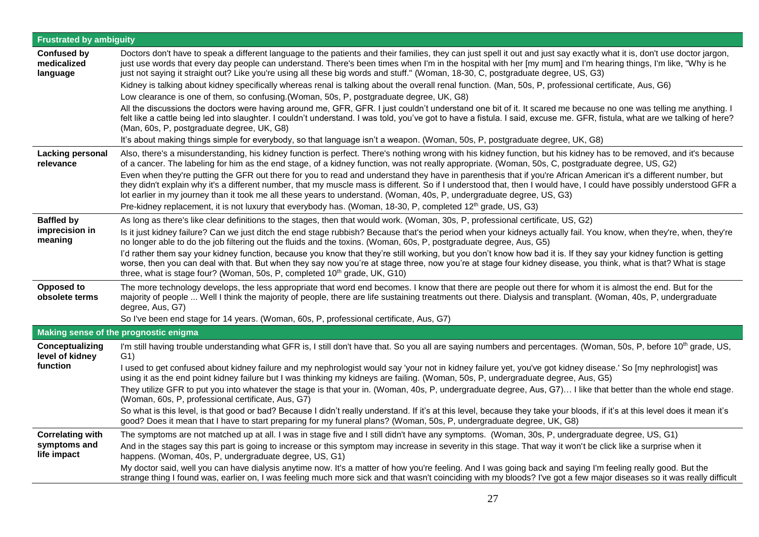| <b>Frustrated by ambiguity</b>                |                                                                                                                                                                                                                                                                                                                                                                                                                                                                                                                                                                                                                                                                                                                                                                                                                                                                                                                                                                                                                                                                                                                                                                                                                                                                            |  |
|-----------------------------------------------|----------------------------------------------------------------------------------------------------------------------------------------------------------------------------------------------------------------------------------------------------------------------------------------------------------------------------------------------------------------------------------------------------------------------------------------------------------------------------------------------------------------------------------------------------------------------------------------------------------------------------------------------------------------------------------------------------------------------------------------------------------------------------------------------------------------------------------------------------------------------------------------------------------------------------------------------------------------------------------------------------------------------------------------------------------------------------------------------------------------------------------------------------------------------------------------------------------------------------------------------------------------------------|--|
| <b>Confused by</b><br>medicalized<br>language | Doctors don't have to speak a different language to the patients and their families, they can just spell it out and just say exactly what it is, don't use doctor jargon,<br>just use words that every day people can understand. There's been times when I'm in the hospital with her [my mum] and I'm hearing things, I'm like, "Why is he<br>just not saying it straight out? Like you're using all these big words and stuff." (Woman, 18-30, C, postgraduate degree, US, G3)<br>Kidney is talking about kidney specifically whereas renal is talking about the overall renal function. (Man, 50s, P, professional certificate, Aus, G6)<br>Low clearance is one of them, so confusing. (Woman, 50s, P, postgraduate degree, UK, G8)<br>All the discussions the doctors were having around me, GFR, GFR. I just couldn't understand one bit of it. It scared me because no one was telling me anything. I<br>felt like a cattle being led into slaughter. I couldn't understand. I was told, you've got to have a fistula. I said, excuse me. GFR, fistula, what are we talking of here?<br>(Man, 60s, P, postgraduate degree, UK, G8)<br>It's about making things simple for everybody, so that language isn't a weapon. (Woman, 50s, P, postgraduate degree, UK, G8) |  |
| <b>Lacking personal</b><br>relevance          | Also, there's a misunderstanding, his kidney function is perfect. There's nothing wrong with his kidney function, but his kidney has to be removed, and it's because<br>of a cancer. The labeling for him as the end stage, of a kidney function, was not really appropriate. (Woman, 50s, C, postgraduate degree, US, G2)                                                                                                                                                                                                                                                                                                                                                                                                                                                                                                                                                                                                                                                                                                                                                                                                                                                                                                                                                 |  |
|                                               | Even when they're putting the GFR out there for you to read and understand they have in parenthesis that if you're African American it's a different number, but<br>they didn't explain why it's a different number, that my muscle mass is different. So if I understood that, then I would have, I could have possibly understood GFR a<br>lot earlier in my journey than it took me all these years to understand. (Woman, 40s, P, undergraduate degree, US, G3)<br>Pre-kidney replacement, it is not luxury that everybody has. (Woman, 18-30, P, completed 12 <sup>th</sup> grade, US, G3)                                                                                                                                                                                                                                                                                                                                                                                                                                                                                                                                                                                                                                                                            |  |
| <b>Baffled by</b>                             | As long as there's like clear definitions to the stages, then that would work. (Woman, 30s, P, professional certificate, US, G2)                                                                                                                                                                                                                                                                                                                                                                                                                                                                                                                                                                                                                                                                                                                                                                                                                                                                                                                                                                                                                                                                                                                                           |  |
| imprecision in<br>meaning                     | Is it just kidney failure? Can we just ditch the end stage rubbish? Because that's the period when your kidneys actually fail. You know, when they're, when, they're<br>no longer able to do the job filtering out the fluids and the toxins. (Woman, 60s, P, postgraduate degree, Aus, G5)                                                                                                                                                                                                                                                                                                                                                                                                                                                                                                                                                                                                                                                                                                                                                                                                                                                                                                                                                                                |  |
|                                               | I'd rather them say your kidney function, because you know that they're still working, but you don't know how bad it is. If they say your kidney function is getting<br>worse, then you can deal with that. But when they say now you're at stage three, now you're at stage four kidney disease, you think, what is that? What is stage<br>three, what is stage four? (Woman, 50s, P, completed 10 <sup>th</sup> grade, UK, G10)                                                                                                                                                                                                                                                                                                                                                                                                                                                                                                                                                                                                                                                                                                                                                                                                                                          |  |
| Opposed to<br>obsolete terms                  | The more technology develops, the less appropriate that word end becomes. I know that there are people out there for whom it is almost the end. But for the<br>majority of people  Well I think the majority of people, there are life sustaining treatments out there. Dialysis and transplant. (Woman, 40s, P, undergraduate<br>degree, Aus, G7)                                                                                                                                                                                                                                                                                                                                                                                                                                                                                                                                                                                                                                                                                                                                                                                                                                                                                                                         |  |
|                                               | So I've been end stage for 14 years. (Woman, 60s, P, professional certificate, Aus, G7)                                                                                                                                                                                                                                                                                                                                                                                                                                                                                                                                                                                                                                                                                                                                                                                                                                                                                                                                                                                                                                                                                                                                                                                    |  |
|                                               | <b>Making sense of the prognostic enigma</b>                                                                                                                                                                                                                                                                                                                                                                                                                                                                                                                                                                                                                                                                                                                                                                                                                                                                                                                                                                                                                                                                                                                                                                                                                               |  |
| Conceptualizing<br>level of kidney            | I'm still having trouble understanding what GFR is, I still don't have that. So you all are saying numbers and percentages. (Woman, 50s, P, before 10 <sup>th</sup> grade, US,<br>G <sub>1</sub>                                                                                                                                                                                                                                                                                                                                                                                                                                                                                                                                                                                                                                                                                                                                                                                                                                                                                                                                                                                                                                                                           |  |
| function                                      | I used to get confused about kidney failure and my nephrologist would say 'your not in kidney failure yet, you've got kidney disease.' So [my nephrologist] was<br>using it as the end point kidney failure but I was thinking my kidneys are failing. (Woman, 50s, P, undergraduate degree, Aus, G5)                                                                                                                                                                                                                                                                                                                                                                                                                                                                                                                                                                                                                                                                                                                                                                                                                                                                                                                                                                      |  |
|                                               | They utilize GFR to put you into whatever the stage is that your in. (Woman, 40s, P, undergraduate degree, Aus, G7) I like that better than the whole end stage.<br>(Woman, 60s, P, professional certificate, Aus, G7)                                                                                                                                                                                                                                                                                                                                                                                                                                                                                                                                                                                                                                                                                                                                                                                                                                                                                                                                                                                                                                                     |  |
|                                               | So what is this level, is that good or bad? Because I didn't really understand. If it's at this level, because they take your bloods, if it's at this level does it mean it's<br>good? Does it mean that I have to start preparing for my funeral plans? (Woman, 50s, P, undergraduate degree, UK, G8)                                                                                                                                                                                                                                                                                                                                                                                                                                                                                                                                                                                                                                                                                                                                                                                                                                                                                                                                                                     |  |
| <b>Correlating with</b>                       | The symptoms are not matched up at all. I was in stage five and I still didn't have any symptoms. (Woman, 30s, P, undergraduate degree, US, G1)                                                                                                                                                                                                                                                                                                                                                                                                                                                                                                                                                                                                                                                                                                                                                                                                                                                                                                                                                                                                                                                                                                                            |  |
| symptoms and<br>life impact                   | And in the stages say this part is going to increase or this symptom may increase in severity in this stage. That way it won't be click like a surprise when it<br>happens. (Woman, 40s, P, undergraduate degree, US, G1)                                                                                                                                                                                                                                                                                                                                                                                                                                                                                                                                                                                                                                                                                                                                                                                                                                                                                                                                                                                                                                                  |  |
|                                               | My doctor said, well you can have dialysis anytime now. It's a matter of how you're feeling. And I was going back and saying I'm feeling really good. But the<br>strange thing I found was, earlier on, I was feeling much more sick and that wasn't coinciding with my bloods? I've got a few major diseases so it was really difficult                                                                                                                                                                                                                                                                                                                                                                                                                                                                                                                                                                                                                                                                                                                                                                                                                                                                                                                                   |  |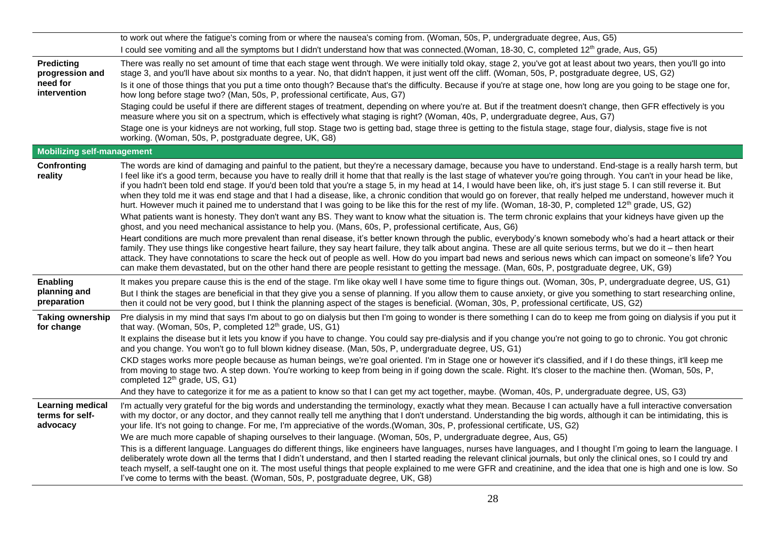|                                                                  | to work out where the fatigue's coming from or where the nausea's coming from. (Woman, 50s, P, undergraduate degree, Aus, G5)                                                                                                                                                                                                                                                                                                                                                                                                                                                                                                                                                                                                                                                                                                                                                                                                                                                                                                                                                                                                                                                                                                                                                                                                                                                                                                                                                                    |
|------------------------------------------------------------------|--------------------------------------------------------------------------------------------------------------------------------------------------------------------------------------------------------------------------------------------------------------------------------------------------------------------------------------------------------------------------------------------------------------------------------------------------------------------------------------------------------------------------------------------------------------------------------------------------------------------------------------------------------------------------------------------------------------------------------------------------------------------------------------------------------------------------------------------------------------------------------------------------------------------------------------------------------------------------------------------------------------------------------------------------------------------------------------------------------------------------------------------------------------------------------------------------------------------------------------------------------------------------------------------------------------------------------------------------------------------------------------------------------------------------------------------------------------------------------------------------|
|                                                                  | I could see vomiting and all the symptoms but I didn't understand how that was connected. (Woman, 18-30, C, completed 12 <sup>th</sup> grade, Aus, G5)                                                                                                                                                                                                                                                                                                                                                                                                                                                                                                                                                                                                                                                                                                                                                                                                                                                                                                                                                                                                                                                                                                                                                                                                                                                                                                                                           |
| <b>Predicting</b><br>progression and<br>need for<br>intervention | There was really no set amount of time that each stage went through. We were initially told okay, stage 2, you've got at least about two years, then you'll go into<br>stage 3, and you'll have about six months to a year. No, that didn't happen, it just went off the cliff. (Woman, 50s, P, postgraduate degree, US, G2)<br>Is it one of those things that you put a time onto though? Because that's the difficulty. Because if you're at stage one, how long are you going to be stage one for,<br>how long before stage two? (Man, 50s, P, professional certificate, Aus, G7)                                                                                                                                                                                                                                                                                                                                                                                                                                                                                                                                                                                                                                                                                                                                                                                                                                                                                                             |
|                                                                  | Staging could be useful if there are different stages of treatment, depending on where you're at. But if the treatment doesn't change, then GFR effectively is you<br>measure where you sit on a spectrum, which is effectively what staging is right? (Woman, 40s, P, undergraduate degree, Aus, G7)                                                                                                                                                                                                                                                                                                                                                                                                                                                                                                                                                                                                                                                                                                                                                                                                                                                                                                                                                                                                                                                                                                                                                                                            |
|                                                                  | Stage one is your kidneys are not working, full stop. Stage two is getting bad, stage three is getting to the fistula stage, stage four, dialysis, stage five is not<br>working. (Woman, 50s, P, postgraduate degree, UK, G8)                                                                                                                                                                                                                                                                                                                                                                                                                                                                                                                                                                                                                                                                                                                                                                                                                                                                                                                                                                                                                                                                                                                                                                                                                                                                    |
| <b>Mobilizing self-management</b>                                |                                                                                                                                                                                                                                                                                                                                                                                                                                                                                                                                                                                                                                                                                                                                                                                                                                                                                                                                                                                                                                                                                                                                                                                                                                                                                                                                                                                                                                                                                                  |
| Confronting<br>reality                                           | The words are kind of damaging and painful to the patient, but they're a necessary damage, because you have to understand. End-stage is a really harsh term, but<br>I feel like it's a good term, because you have to really drill it home that that really is the last stage of whatever you're going through. You can't in your head be like,<br>if you hadn't been told end stage. If you'd been told that you're a stage 5, in my head at 14, I would have been like, oh, it's just stage 5. I can still reverse it. But<br>when they told me it was end stage and that I had a disease, like, a chronic condition that would go on forever, that really helped me understand, however much it<br>hurt. However much it pained me to understand that I was going to be like this for the rest of my life. (Woman, 18-30, P, completed 12 <sup>th</sup> grade, US, G2)<br>What patients want is honesty. They don't want any BS. They want to know what the situation is. The term chronic explains that your kidneys have given up the<br>ghost, and you need mechanical assistance to help you. (Mans, 60s, P, professional certificate, Aus, G6)<br>Heart conditions are much more prevalent than renal disease, it's better known through the public, everybody's known somebody who's had a heart attack or their<br>family. They use things like congestive heart failure, they say heart failure, they talk about angina. These are all quite serious terms, but we do it – then heart |
|                                                                  | attack. They have connotations to scare the heck out of people as well. How do you impart bad news and serious news which can impact on someone's life? You<br>can make them devastated, but on the other hand there are people resistant to getting the message. (Man, 60s, P, postgraduate degree, UK, G9)                                                                                                                                                                                                                                                                                                                                                                                                                                                                                                                                                                                                                                                                                                                                                                                                                                                                                                                                                                                                                                                                                                                                                                                     |
| Enabling                                                         | It makes you prepare cause this is the end of the stage. I'm like okay well I have some time to figure things out. (Woman, 30s, P, undergraduate degree, US, G1)                                                                                                                                                                                                                                                                                                                                                                                                                                                                                                                                                                                                                                                                                                                                                                                                                                                                                                                                                                                                                                                                                                                                                                                                                                                                                                                                 |
| planning and<br>preparation                                      | But I think the stages are beneficial in that they give you a sense of planning. If you allow them to cause anxiety, or give you something to start researching online,<br>then it could not be very good, but I think the planning aspect of the stages is beneficial. (Woman, 30s, P, professional certificate, US, G2)                                                                                                                                                                                                                                                                                                                                                                                                                                                                                                                                                                                                                                                                                                                                                                                                                                                                                                                                                                                                                                                                                                                                                                        |
| <b>Taking ownership</b><br>for change                            | Pre dialysis in my mind that says I'm about to go on dialysis but then I'm going to wonder is there something I can do to keep me from going on dialysis if you put it<br>that way. (Woman, 50s, P, completed 12 <sup>th</sup> grade, US, G1)                                                                                                                                                                                                                                                                                                                                                                                                                                                                                                                                                                                                                                                                                                                                                                                                                                                                                                                                                                                                                                                                                                                                                                                                                                                    |
|                                                                  | It explains the disease but it lets you know if you have to change. You could say pre-dialysis and if you change you're not going to go to chronic. You got chronic<br>and you change. You won't go to full blown kidney disease. (Man, 50s, P, undergraduate degree, US, G1)                                                                                                                                                                                                                                                                                                                                                                                                                                                                                                                                                                                                                                                                                                                                                                                                                                                                                                                                                                                                                                                                                                                                                                                                                    |
|                                                                  | CKD stages works more people because as human beings, we're goal oriented. I'm in Stage one or however it's classified, and if I do these things, it'll keep me<br>from moving to stage two. A step down. You're working to keep from being in if going down the scale. Right. It's closer to the machine then. (Woman, 50s, P,<br>completed 12 <sup>th</sup> grade, US, G1)                                                                                                                                                                                                                                                                                                                                                                                                                                                                                                                                                                                                                                                                                                                                                                                                                                                                                                                                                                                                                                                                                                                     |
|                                                                  | And they have to categorize it for me as a patient to know so that I can get my act together, maybe. (Woman, 40s, P, undergraduate degree, US, G3)                                                                                                                                                                                                                                                                                                                                                                                                                                                                                                                                                                                                                                                                                                                                                                                                                                                                                                                                                                                                                                                                                                                                                                                                                                                                                                                                               |
| <b>Learning medical</b><br>terms for self-<br>advocacy           | I'm actually very grateful for the big words and understanding the terminology, exactly what they mean. Because I can actually have a full interactive conversation<br>with my doctor, or any doctor, and they cannot really tell me anything that I don't understand. Understanding the big words, although it can be intimidating, this is<br>your life. It's not going to change. For me, I'm appreciative of the words.(Woman, 30s, P, professional certificate, US, G2)                                                                                                                                                                                                                                                                                                                                                                                                                                                                                                                                                                                                                                                                                                                                                                                                                                                                                                                                                                                                                     |
|                                                                  | We are much more capable of shaping ourselves to their language. (Woman, 50s, P, undergraduate degree, Aus, G5)                                                                                                                                                                                                                                                                                                                                                                                                                                                                                                                                                                                                                                                                                                                                                                                                                                                                                                                                                                                                                                                                                                                                                                                                                                                                                                                                                                                  |
|                                                                  | This is a different language. Languages do different things, like engineers have languages, nurses have languages, and I thought I'm going to learn the language. I<br>deliberately wrote down all the terms that I didn't understand, and then I started reading the relevant clinical journals, but only the clinical ones, so I could try and<br>teach myself, a self-taught one on it. The most useful things that people explained to me were GFR and creatinine, and the idea that one is high and one is low. So<br>I've come to terms with the beast. (Woman, 50s, P, postgraduate degree, UK, G8)                                                                                                                                                                                                                                                                                                                                                                                                                                                                                                                                                                                                                                                                                                                                                                                                                                                                                       |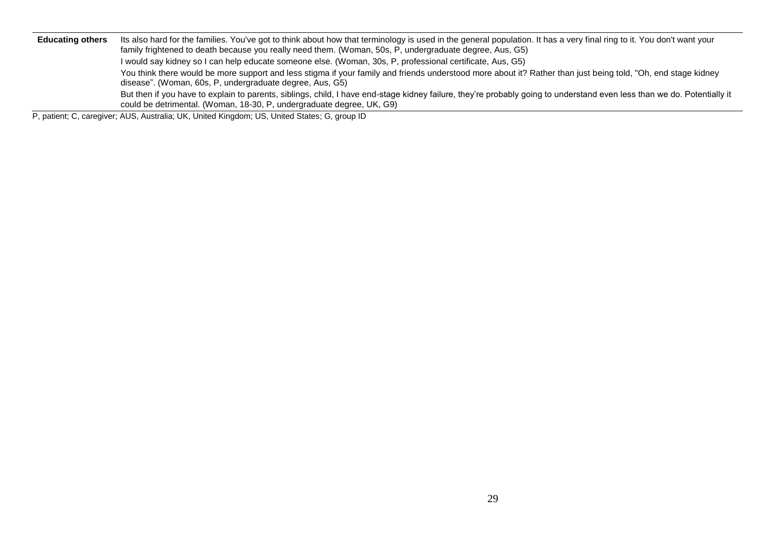Educating others Its also hard for the families. You've got to think about how that terminology is used in the general population. It has a very final ring to it. You don't want your family frightened to death because you really need them. (Woman, 50s, P, undergraduate degree, Aus, G5) I would say kidney so I can help educate someone else. (Woman, 30s, P, professional certificate, Aus, G5) You think there would be more support and less stigma if your family and friends understood more about it? Rather than just being told, "Oh, end stage kidney disease". (Woman, 60s, P, undergraduate degree, Aus, G5) But then if you have to explain to parents, siblings, child, I have end-stage kidney failure, they're probably going to understand even less than we do. Potentially it could be detrimental. (Woman, 18-30, P, undergraduate degree, UK, G9)

P, patient; C, caregiver; AUS, Australia; UK, United Kingdom; US, United States; G, group ID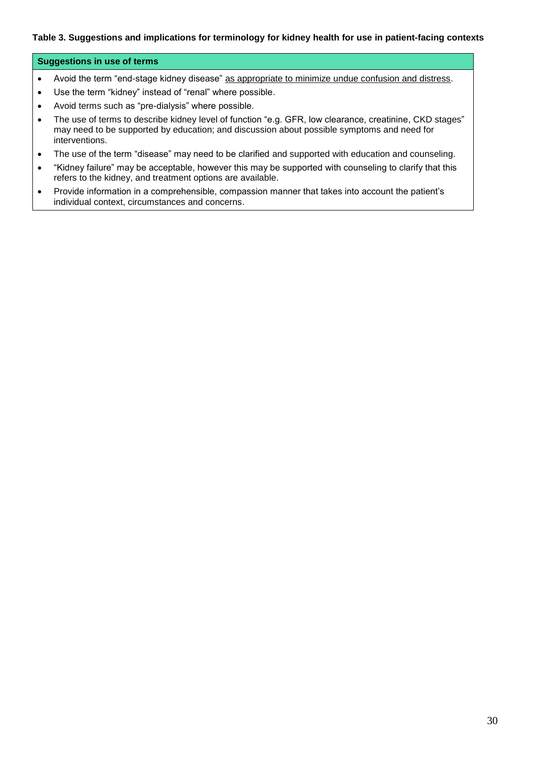## **Table 3. Suggestions and implications for terminology for kidney health for use in patient-facing contexts**

#### **Suggestions in use of terms**

- Avoid the term "end-stage kidney disease" as appropriate to minimize undue confusion and distress.
- Use the term "kidney" instead of "renal" where possible.
- Avoid terms such as "pre-dialysis" where possible.
- The use of terms to describe kidney level of function "e.g. GFR, low clearance, creatinine, CKD stages" may need to be supported by education; and discussion about possible symptoms and need for interventions.
- The use of the term "disease" may need to be clarified and supported with education and counseling.
- "Kidney failure" may be acceptable, however this may be supported with counseling to clarify that this refers to the kidney, and treatment options are available.
- Provide information in a comprehensible, compassion manner that takes into account the patient's individual context, circumstances and concerns.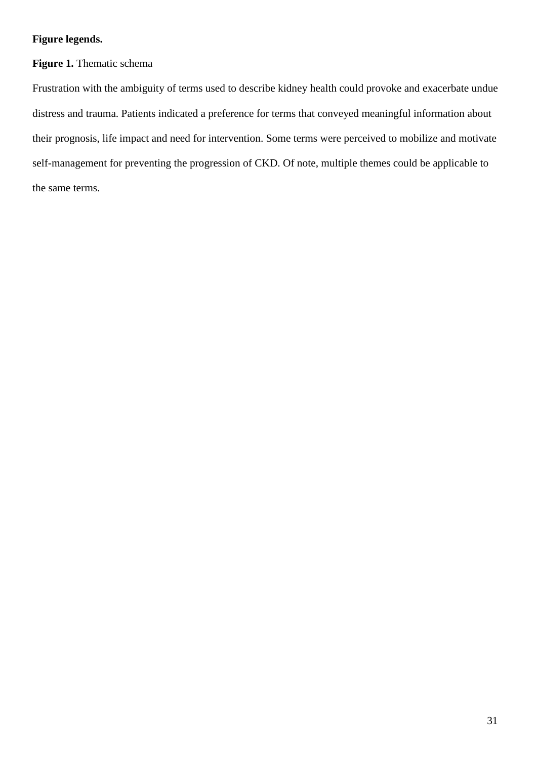# **Figure legends.**

# **Figure 1.** Thematic schema

Frustration with the ambiguity of terms used to describe kidney health could provoke and exacerbate undue distress and trauma. Patients indicated a preference for terms that conveyed meaningful information about their prognosis, life impact and need for intervention. Some terms were perceived to mobilize and motivate self-management for preventing the progression of CKD. Of note, multiple themes could be applicable to the same terms.